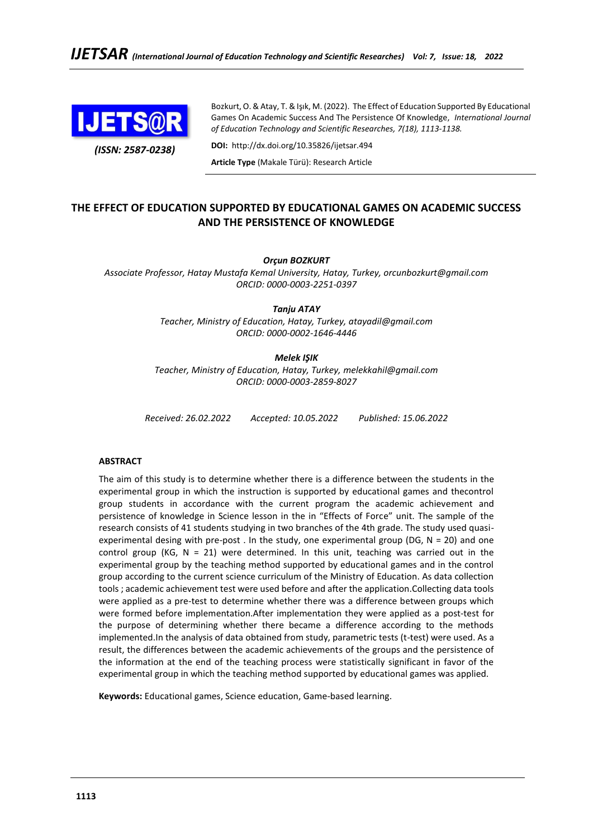

Bozkurt, O. & Atay, T. & Işık, M. (2022). The Effect of Education Supported By Educational Games On Academic Success And The Persistence Of Knowledge, *International Journal of Education Technology and Scientific Researches, 7(18), 1113-1138.*

**DOI:** http://dx.doi.org/10.35826/ijetsar.494

**Article Type** (Makale Türü): Research Article

# **THE EFFECT OF EDUCATION SUPPORTED BY EDUCATIONAL GAMES ON ACADEMIC SUCCESS AND THE PERSISTENCE OF KNOWLEDGE**

# *Orçun BOZKURT*

*Associate Professor, Hatay Mustafa Kemal University, Hatay, Turkey, orcunbozkurt@gmail.com ORCID: [0000-0003-2251-0397](https://orcid.org/0000-0003-2251-0397?lang=en)*

*Tanju ATAY*

*Teacher, Ministry of Education, Hatay, Turkey, [atayadil@gmail.com](mailto:atayadil@gmail.com) ORCID: [0000-0002-1646-4446](https://orcid.org/0000-0002-1646-4446?lang=en)*

# *Melek IŞIK*

*Teacher, Ministry of Education, Hatay, Turkey, [melekkahil@gmail.com](mailto:melekkahil@gmail.com) ORCID: [0000-0003-2859-8027](https://orcid.org/0000-0003-2859-8027?lang=en)*

*Received: 26.02.2022 Accepted: 10.05.2022 Published: 15.06.2022*

# **ABSTRACT**

The aim of this study is to determine whether there is a difference between the students in the experimental group in which the instruction is supported by educational games and thecontrol group students in accordance with the current program the academic achievement and persistence of knowledge in Science lesson in the in "Effects of Force" unit. The sample of the research consists of 41 students studying in two branches of the 4th grade. The study used quasiexperimental desing with pre-post . In the study, one experimental group (DG,  $N = 20$ ) and one control group (KG,  $N = 21$ ) were determined. In this unit, teaching was carried out in the experimental group by the teaching method supported by educational games and in the control group according to the current science curriculum of the Ministry of Education. As data collection tools ; academic achievement test were used before and after the application.Collecting data tools were applied as a pre-test to determine whether there was a difference between groups which were formed before implementation.After implementation they were applied as a post-test for the purpose of determining whether there became a difference according to the methods implemented.In the analysis of data obtained from study, parametric tests (t-test) were used. As a result, the differences between the academic achievements of the groups and the persistence of the information at the end of the teaching process were statistically significant in favor of the experimental group in which the teaching method supported by educational games was applied.

**Keywords:** Educational games, Science education, Game-based learning.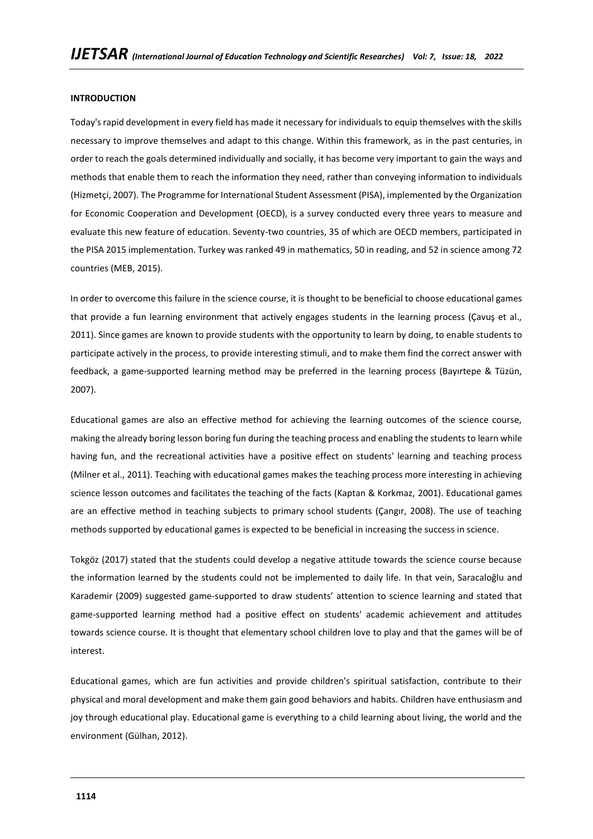#### **INTRODUCTION**

Today's rapid development in every field has made it necessary for individuals to equip themselves with the skills necessary to improve themselves and adapt to this change. Within this framework, as in the past centuries, in order to reach the goals determined individually and socially, it has become very important to gain the ways and methods that enable them to reach the information they need, rather than conveying information to individuals (Hizmetçi, 2007). The Programme for International Student Assessment (PISA), implemented by the Organization for Economic Cooperation and Development (OECD), is a survey conducted every three years to measure and evaluate this new feature of education. Seventy-two countries, 35 of which are OECD members, participated in the PISA 2015 implementation. Turkey was ranked 49 in mathematics, 50 in reading, and 52 in science among 72 countries (MEB, 2015).

In order to overcome this failure in the science course, it is thought to be beneficial to choose educational games that provide a fun learning environment that actively engages students in the learning process (Çavuş et al., 2011). Since games are known to provide students with the opportunity to learn by doing, to enable students to participate actively in the process, to provide interesting stimuli, and to make them find the correct answer with feedback, a game-supported learning method may be preferred in the learning process (Bayırtepe & Tüzün, 2007).

Educational games are also an effective method for achieving the learning outcomes of the science course, making the already boring lesson boring fun during the teaching process and enabling the students to learn while having fun, and the recreational activities have a positive effect on students' learning and teaching process (Milner et al., 2011). Teaching with educational games makes the teaching process more interesting in achieving science lesson outcomes and facilitates the teaching of the facts (Kaptan & Korkmaz, 2001). Educational games are an effective method in teaching subjects to primary school students (Çangır, 2008). The use of teaching methods supported by educational games is expected to be beneficial in increasing the success in science.

Tokgöz (2017) stated that the students could develop a negative attitude towards the science course because the information learned by the students could not be implemented to daily life. In that vein, Saracaloğlu and Karademir (2009) suggested game-supported to draw students' attention to science learning and stated that game-supported learning method had a positive effect on students' academic achievement and attitudes towards science course. It is thought that elementary school children love to play and that the games will be of interest.

Educational games, which are fun activities and provide children's spiritual satisfaction, contribute to their physical and moral development and make them gain good behaviors and habits. Children have enthusiasm and joy through educational play. Educational game is everything to a child learning about living, the world and the environment (Gülhan, 2012).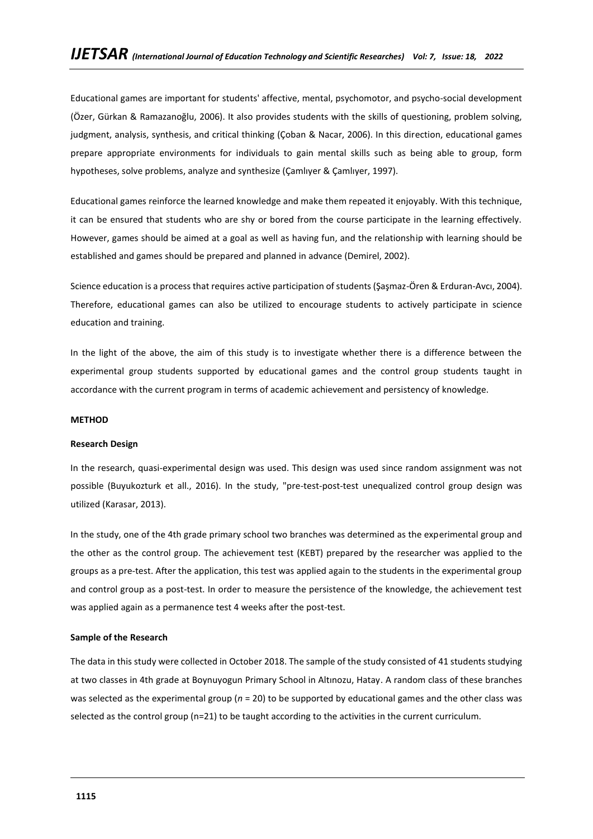Educational games are important for students' affective, mental, psychomotor, and psycho-social development (Özer, Gürkan & Ramazanoğlu, 2006). It also provides students with the skills of questioning, problem solving, judgment, analysis, synthesis, and critical thinking (Çoban & Nacar, 2006). In this direction, educational games prepare appropriate environments for individuals to gain mental skills such as being able to group, form hypotheses, solve problems, analyze and synthesize (Çamlıyer & Çamlıyer, 1997).

Educational games reinforce the learned knowledge and make them repeated it enjoyably. With this technique, it can be ensured that students who are shy or bored from the course participate in the learning effectively. However, games should be aimed at a goal as well as having fun, and the relationship with learning should be established and games should be prepared and planned in advance (Demirel, 2002).

Science education is a process that requires active participation of students (Şaşmaz-Ören & Erduran-Avcı, 2004). Therefore, educational games can also be utilized to encourage students to actively participate in science education and training.

In the light of the above, the aim of this study is to investigate whether there is a difference between the experimental group students supported by educational games and the control group students taught in accordance with the current program in terms of academic achievement and persistency of knowledge.

### **METHOD**

#### **Research Design**

In the research, quasi-experimental design was used. This design was used since random assignment was not possible (Buyukozturk et all., 2016). In the study, "pre-test-post-test unequalized control group design was utilized (Karasar, 2013).

In the study, one of the 4th grade primary school two branches was determined as the experimental group and the other as the control group. The achievement test (KEBT) prepared by the researcher was applied to the groups as a pre-test. After the application, this test was applied again to the students in the experimental group and control group as a post-test. In order to measure the persistence of the knowledge, the achievement test was applied again as a permanence test 4 weeks after the post-test.

### **Sample of the Research**

The data in this study were collected in October 2018. The sample of the study consisted of 41 students studying at two classes in 4th grade at Boynuyogun Primary School in Altınozu, Hatay. A random class of these branches was selected as the experimental group (*n* = 20) to be supported by educational games and the other class was selected as the control group (n=21) to be taught according to the activities in the current curriculum.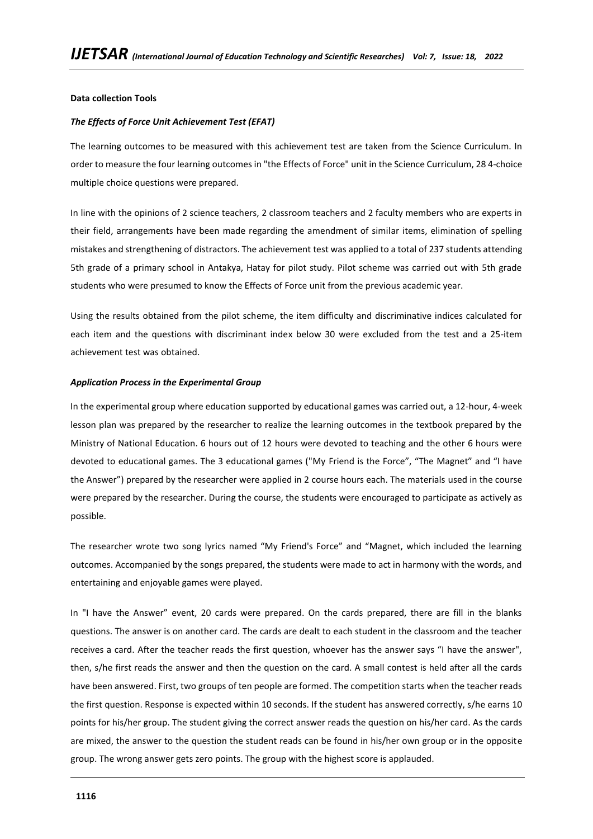# **Data collection Tools**

### *The Effects of Force Unit Achievement Test (EFAT)*

The learning outcomes to be measured with this achievement test are taken from the Science Curriculum. In order to measure the four learning outcomes in "the Effects of Force" unit in the Science Curriculum, 28 4-choice multiple choice questions were prepared.

In line with the opinions of 2 science teachers, 2 classroom teachers and 2 faculty members who are experts in their field, arrangements have been made regarding the amendment of similar items, elimination of spelling mistakes and strengthening of distractors. The achievement test was applied to a total of 237 students attending 5th grade of a primary school in Antakya, Hatay for pilot study. Pilot scheme was carried out with 5th grade students who were presumed to know the Effects of Force unit from the previous academic year.

Using the results obtained from the pilot scheme, the item difficulty and discriminative indices calculated for each item and the questions with discriminant index below 30 were excluded from the test and a 25-item achievement test was obtained.

#### *Application Process in the Experimental Group*

In the experimental group where education supported by educational games was carried out, a 12-hour, 4-week lesson plan was prepared by the researcher to realize the learning outcomes in the textbook prepared by the Ministry of National Education. 6 hours out of 12 hours were devoted to teaching and the other 6 hours were devoted to educational games. The 3 educational games ("My Friend is the Force", "The Magnet" and "I have the Answer") prepared by the researcher were applied in 2 course hours each. The materials used in the course were prepared by the researcher. During the course, the students were encouraged to participate as actively as possible.

The researcher wrote two song lyrics named "My Friend's Force" and "Magnet, which included the learning outcomes. Accompanied by the songs prepared, the students were made to act in harmony with the words, and entertaining and enjoyable games were played.

In "I have the Answer" event, 20 cards were prepared. On the cards prepared, there are fill in the blanks questions. The answer is on another card. The cards are dealt to each student in the classroom and the teacher receives a card. After the teacher reads the first question, whoever has the answer says "I have the answer", then, s/he first reads the answer and then the question on the card. A small contest is held after all the cards have been answered. First, two groups of ten people are formed. The competition starts when the teacher reads the first question. Response is expected within 10 seconds. If the student has answered correctly, s/he earns 10 points for his/her group. The student giving the correct answer reads the question on his/her card. As the cards are mixed, the answer to the question the student reads can be found in his/her own group or in the opposite group. The wrong answer gets zero points. The group with the highest score is applauded.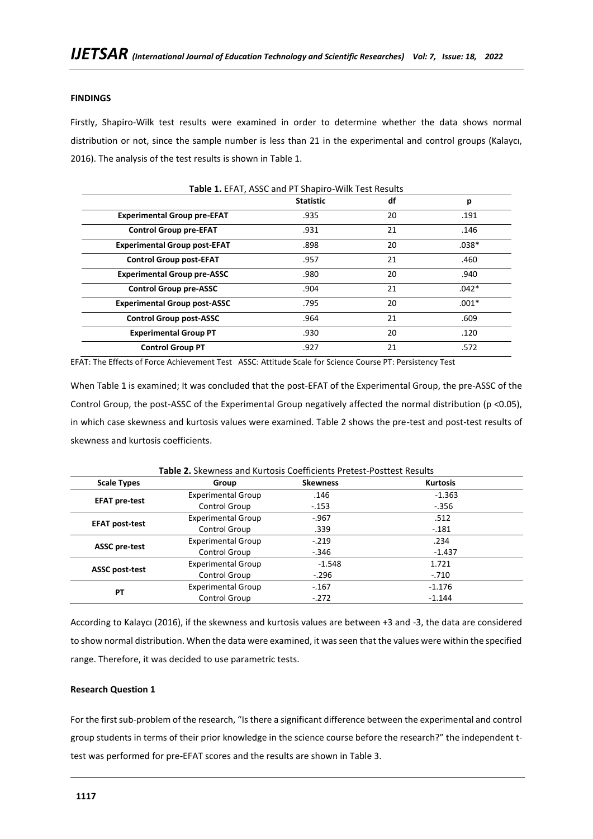# **FINDINGS**

Firstly, Shapiro-Wilk test results were examined in order to determine whether the data shows normal distribution or not, since the sample number is less than 21 in the experimental and control groups (Kalaycı, 2016). The analysis of the test results is shown in Table 1.

|                                     | <b>Statistic</b> | df | р       |
|-------------------------------------|------------------|----|---------|
| <b>Experimental Group pre-EFAT</b>  | .935             | 20 | .191    |
| <b>Control Group pre-EFAT</b>       | .931             | 21 | .146    |
| <b>Experimental Group post-EFAT</b> | .898             | 20 | $.038*$ |
| <b>Control Group post-EFAT</b>      | .957             | 21 | .460    |
| <b>Experimental Group pre-ASSC</b>  | .980             | 20 | .940    |
| <b>Control Group pre-ASSC</b>       | .904             | 21 | $.042*$ |
| <b>Experimental Group post-ASSC</b> | .795             | 20 | $.001*$ |
| <b>Control Group post-ASSC</b>      | .964             | 21 | .609    |
| <b>Experimental Group PT</b>        | .930             | 20 | .120    |
| <b>Control Group PT</b>             | .927             | 21 | .572    |

EFAT: The Effects of Force Achievement Test ASSC: Attitude Scale for Science Course PT: Persistency Test

When Table 1 is examined; It was concluded that the post-EFAT of the Experimental Group, the pre-ASSC of the Control Group, the post-ASSC of the Experimental Group negatively affected the normal distribution (p <0.05), in which case skewness and kurtosis values were examined. Table 2 shows the pre-test and post-test results of skewness and kurtosis coefficients.

| <b>Scale Types</b>    | Group                     | <b>Skewness</b> | <b>Kurtosis</b> |  |
|-----------------------|---------------------------|-----------------|-----------------|--|
|                       | <b>Experimental Group</b> | .146            | $-1.363$        |  |
| <b>EFAT pre-test</b>  | Control Group             | $-.153$         | $-.356$         |  |
|                       | <b>Experimental Group</b> | $-.967$         | .512            |  |
| <b>EFAT post-test</b> | Control Group             | .339            | $-.181$         |  |
|                       | <b>Experimental Group</b> | $-.219$         | .234            |  |
| <b>ASSC pre-test</b>  | Control Group             | $-.346$         | $-1.437$        |  |
|                       | <b>Experimental Group</b> | $-1.548$        | 1.721           |  |
| <b>ASSC post-test</b> | Control Group             | $-.296$         | $-.710$         |  |
| РT                    | <b>Experimental Group</b> | $-.167$         | $-1.176$        |  |
|                       | Control Group             | $-.272$         | $-1.144$        |  |

**Table 2.** Skewness and Kurtosis Coefficients Pretest-Posttest Results

According to Kalaycı (2016), if the skewness and kurtosis values are between +3 and -3, the data are considered to show normal distribution. When the data were examined, it was seen that the values were within the specified range. Therefore, it was decided to use parametric tests.

# **Research Question 1**

For the first sub-problem of the research, "Is there a significant difference between the experimental and control group students in terms of their prior knowledge in the science course before the research?" the independent ttest was performed for pre-EFAT scores and the results are shown in Table 3.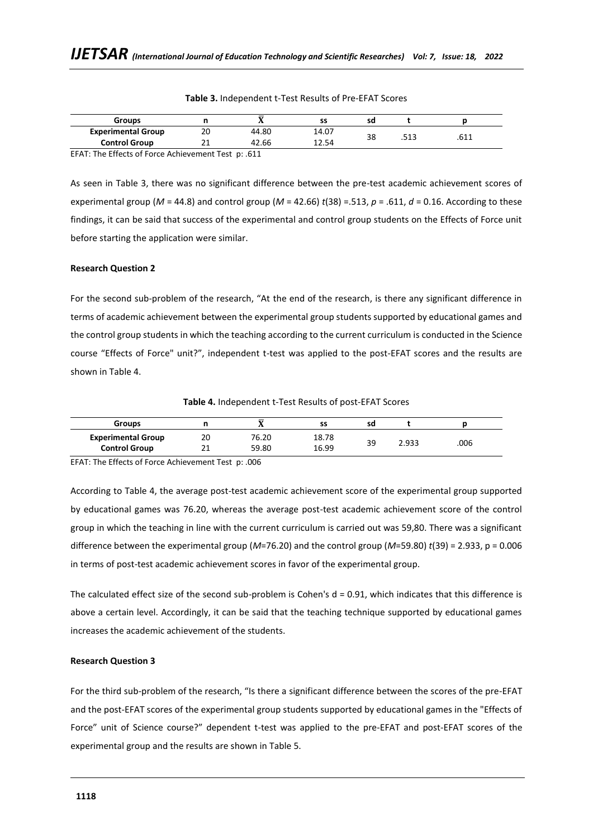| <b>Groups</b>             |    | -     | SS    | sd |      |        |
|---------------------------|----|-------|-------|----|------|--------|
| <b>Experimental Group</b> | 20 | 44.80 | 14.07 |    |      |        |
| <b>Control Group</b>      |    | 42.66 | 12.54 | 38 | د⊥ر. | L L O. |

**Table 3.** Independent t-Test Results of Pre-EFAT Scores

EFAT: The Effects of Force Achievement Test p: .611

As seen in Table 3, there was no significant difference between the pre-test academic achievement scores of experimental group ( $M = 44.8$ ) and control group ( $M = 42.66$ )  $t(38) = .513$ ,  $p = .611$ ,  $d = 0.16$ . According to these findings, it can be said that success of the experimental and control group students on the Effects of Force unit before starting the application were similar.

### **Research Question 2**

For the second sub-problem of the research, "At the end of the research, is there any significant difference in terms of academic achievement between the experimental group students supported by educational games and the control group students in which the teaching according to the current curriculum is conducted in the Science course "Effects of Force" unit?", independent t-test was applied to the post-EFAT scores and the results are shown in Table 4.

**Table 4.** Independent t-Test Results of post-EFAT Scores

| <b>Groups</b>             |    | _<br> | SS    | sd |       |      |
|---------------------------|----|-------|-------|----|-------|------|
| <b>Experimental Group</b> | 20 | 76.20 | 18.78 | 39 | 2.933 | .006 |
| <b>Control Group</b>      |    | 59.80 | 16.99 |    |       |      |

EFAT: The Effects of Force Achievement Test p: .006

According to Table 4, the average post-test academic achievement score of the experimental group supported by educational games was 76.20, whereas the average post-test academic achievement score of the control group in which the teaching in line with the current curriculum is carried out was 59,80. There was a significant difference between the experimental group (*M*=76.20) and the control group (*M*=59.80) *t*(39) = 2.933, p = 0.006 in terms of post-test academic achievement scores in favor of the experimental group.

The calculated effect size of the second sub-problem is Cohen's  $d = 0.91$ , which indicates that this difference is above a certain level. Accordingly, it can be said that the teaching technique supported by educational games increases the academic achievement of the students.

# **Research Question 3**

For the third sub-problem of the research, "Is there a significant difference between the scores of the pre-EFAT and the post-EFAT scores of the experimental group students supported by educational games in the "Effects of Force" unit of Science course?" dependent t-test was applied to the pre-EFAT and post-EFAT scores of the experimental group and the results are shown in Table 5.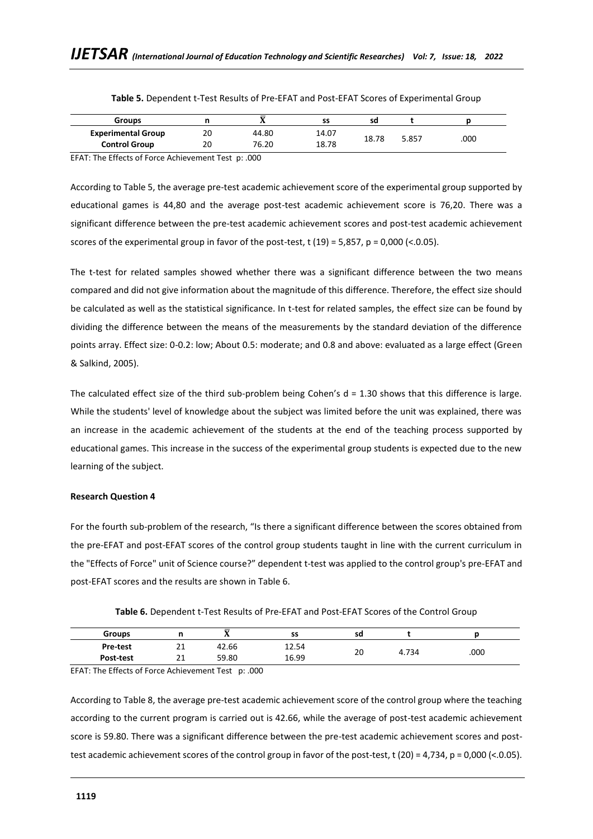| <b>Groups</b>             |    | $\mathbf{A}$ | SS    | sd    |       |      |
|---------------------------|----|--------------|-------|-------|-------|------|
| <b>Experimental Group</b> | 20 | 44.80        | 14.07 |       |       |      |
| <b>Control Group</b>      | 20 | 76.20        | 18.78 | 18.78 | 5.857 | .000 |

**Table 5.** Dependent t-Test Results of Pre-EFAT and Post-EFAT Scores of Experimental Group

EFAT: The Effects of Force Achievement Test p: .000

According to Table 5, the average pre-test academic achievement score of the experimental group supported by educational games is 44,80 and the average post-test academic achievement score is 76,20. There was a significant difference between the pre-test academic achievement scores and post-test academic achievement scores of the experimental group in favor of the post-test,  $t$  (19) = 5,857,  $p = 0,000$  (<.0.05).

The t-test for related samples showed whether there was a significant difference between the two means compared and did not give information about the magnitude of this difference. Therefore, the effect size should be calculated as well as the statistical significance. In t-test for related samples, the effect size can be found by dividing the difference between the means of the measurements by the standard deviation of the difference points array. Effect size: 0-0.2: low; About 0.5: moderate; and 0.8 and above: evaluated as a large effect (Green & Salkind, 2005).

The calculated effect size of the third sub-problem being Cohen's  $d = 1.30$  shows that this difference is large. While the students' level of knowledge about the subject was limited before the unit was explained, there was an increase in the academic achievement of the students at the end of the teaching process supported by educational games. This increase in the success of the experimental group students is expected due to the new learning of the subject.

# **Research Question 4**

For the fourth sub-problem of the research, "Is there a significant difference between the scores obtained from the pre-EFAT and post-EFAT scores of the control group students taught in line with the current curriculum in the "Effects of Force" unit of Science course?" dependent t-test was applied to the control group's pre-EFAT and post-EFAT scores and the results are shown in Table 6.

| <b>Groups</b> |          | ᅲ<br>43. | SS    | sd |       |      |
|---------------|----------|----------|-------|----|-------|------|
| Pre-test      | 21<br>ᅩ  | 42.66    | 12.54 | 20 |       | .000 |
| Post-test     | 21<br>ᅀᅩ | 59.80    | 16.99 |    | 4.734 |      |

**Table 6.** Dependent t-Test Results of Pre-EFAT and Post-EFAT Scores of the Control Group

EFAT: The Effects of Force Achievement Test p: .000

According to Table 8, the average pre-test academic achievement score of the control group where the teaching according to the current program is carried out is 42.66, while the average of post-test academic achievement score is 59.80. There was a significant difference between the pre-test academic achievement scores and posttest academic achievement scores of the control group in favor of the post-test, t (20) = 4,734, p = 0,000 (<.0.05).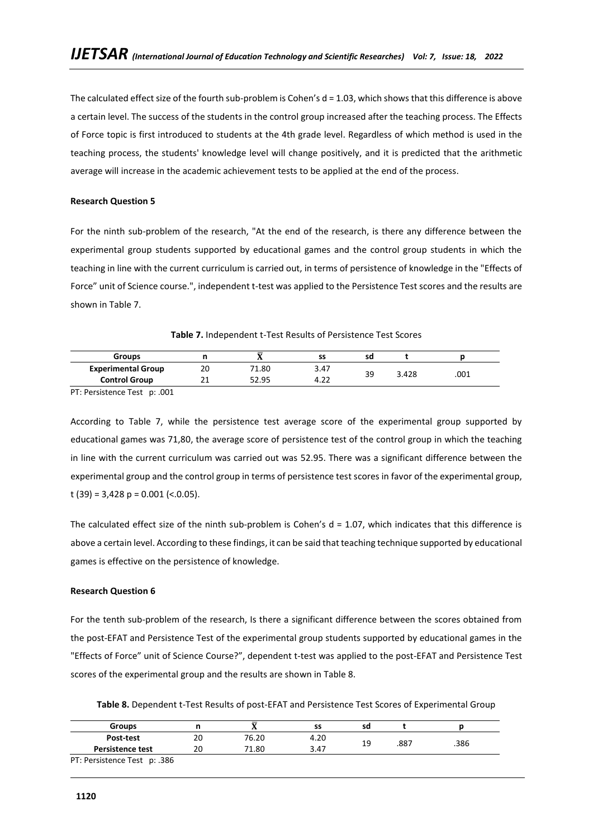The calculated effect size of the fourth sub-problem is Cohen's  $d = 1.03$ , which shows that this difference is above a certain level. The success of the students in the control group increased after the teaching process. The Effects of Force topic is first introduced to students at the 4th grade level. Regardless of which method is used in the teaching process, the students' knowledge level will change positively, and it is predicted that the arithmetic average will increase in the academic achievement tests to be applied at the end of the process.

# **Research Question 5**

For the ninth sub-problem of the research, "At the end of the research, is there any difference between the experimental group students supported by educational games and the control group students in which the teaching in line with the current curriculum is carried out, in terms of persistence of knowledge in the "Effects of Force" unit of Science course.", independent t-test was applied to the Persistence Test scores and the results are shown in Table 7.

|  |  | Table 7. Independent t-Test Results of Persistence Test Scores |
|--|--|----------------------------------------------------------------|
|--|--|----------------------------------------------------------------|

| <b>Groups</b>             |    |       | SS   | sd |       |      |
|---------------------------|----|-------|------|----|-------|------|
| <b>Experimental Group</b> | 20 | 71.80 | 3.47 |    |       |      |
| <b>Control Group</b>      | ᅩᅩ | 52.95 | 4.22 | 39 | 3.428 | .001 |

PT: Persistence Test p: .001

According to Table 7, while the persistence test average score of the experimental group supported by educational games was 71,80, the average score of persistence test of the control group in which the teaching in line with the current curriculum was carried out was 52.95. There was a significant difference between the experimental group and the control group in terms of persistence test scores in favor of the experimental group, t (39) = 3,428 p = 0.001 (<.0.05).

The calculated effect size of the ninth sub-problem is Cohen's  $d = 1.07$ , which indicates that this difference is above a certain level. According to these findings, it can be said that teaching technique supported by educational games is effective on the persistence of knowledge.

# **Research Question 6**

For the tenth sub-problem of the research, Is there a significant difference between the scores obtained from the post-EFAT and Persistence Test of the experimental group students supported by educational games in the "Effects of Force" unit of Science Course?", dependent t-test was applied to the post-EFAT and Persistence Test scores of the experimental group and the results are shown in Table 8.

**Table 8.** Dependent t-Test Results of post-EFAT and Persistence Test Scores of Experimental Group

| <b>Groups</b>                |    |       | SS   | sd |      |      |
|------------------------------|----|-------|------|----|------|------|
| Post-test                    | 20 | 76.20 | 4.20 |    |      |      |
| <b>Persistence test</b>      | 20 | 71.80 | 3.47 | 19 | .887 | .386 |
| PT: Persistence Test p: .386 |    |       |      |    |      |      |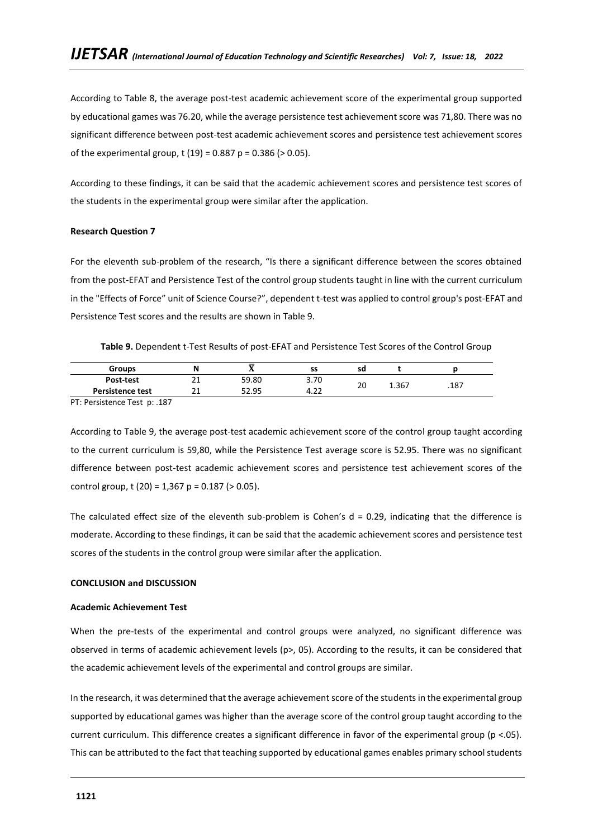According to Table 8, the average post-test academic achievement score of the experimental group supported by educational games was 76.20, while the average persistence test achievement score was 71,80. There was no significant difference between post-test academic achievement scores and persistence test achievement scores of the experimental group, t (19) =  $0.887$  p =  $0.386$  ( $> 0.05$ ).

According to these findings, it can be said that the academic achievement scores and persistence test scores of the students in the experimental group were similar after the application.

### **Research Question 7**

For the eleventh sub-problem of the research, "Is there a significant difference between the scores obtained from the post-EFAT and Persistence Test of the control group students taught in line with the current curriculum in the "Effects of Force" unit of Science Course?", dependent t-test was applied to control group's post-EFAT and Persistence Test scores and the results are shown in Table 9.

**Table 9.** Dependent t-Test Results of post-EFAT and Persistence Test Scores of the Control Group

| <b>Groups</b>           | N          | $\overline{\phantom{a}}$ | cc<br>-33      | sd |       |      |
|-------------------------|------------|--------------------------|----------------|----|-------|------|
| Post-test               | <u>_ _</u> | 59.80                    | 3.70           | o۵ | 1.367 |      |
| <b>Persistence test</b> | <u>_ _</u> | 52.95                    | $\sim$<br>4.LL | zu |       | .187 |

PT: Persistence Test p: .187

According to Table 9, the average post-test academic achievement score of the control group taught according to the current curriculum is 59,80, while the Persistence Test average score is 52.95. There was no significant difference between post-test academic achievement scores and persistence test achievement scores of the control group, t  $(20) = 1.367$  p = 0.187 ( $> 0.05$ ).

The calculated effect size of the eleventh sub-problem is Cohen's  $d = 0.29$ , indicating that the difference is moderate. According to these findings, it can be said that the academic achievement scores and persistence test scores of the students in the control group were similar after the application.

### **CONCLUSION and DISCUSSION**

### **Academic Achievement Test**

When the pre-tests of the experimental and control groups were analyzed, no significant difference was observed in terms of academic achievement levels (p>, 05). According to the results, it can be considered that the academic achievement levels of the experimental and control groups are similar.

In the research, it was determined that the average achievement score of the students in the experimental group supported by educational games was higher than the average score of the control group taught according to the current curriculum. This difference creates a significant difference in favor of the experimental group (p <.05). This can be attributed to the fact that teaching supported by educational games enables primary school students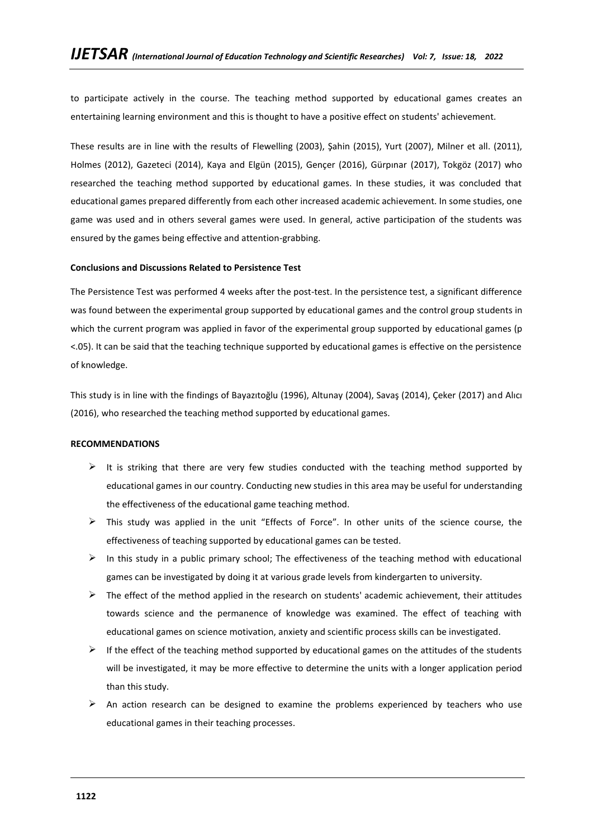to participate actively in the course. The teaching method supported by educational games creates an entertaining learning environment and this is thought to have a positive effect on students' achievement.

These results are in line with the results of Flewelling (2003), Şahin (2015), Yurt (2007), Milner et all. (2011), Holmes (2012), Gazeteci (2014), Kaya and Elgün (2015), Gençer (2016), Gürpınar (2017), Tokgöz (2017) who researched the teaching method supported by educational games. In these studies, it was concluded that educational games prepared differently from each other increased academic achievement. In some studies, one game was used and in others several games were used. In general, active participation of the students was ensured by the games being effective and attention-grabbing.

### **Conclusions and Discussions Related to Persistence Test**

The Persistence Test was performed 4 weeks after the post-test. In the persistence test, a significant difference was found between the experimental group supported by educational games and the control group students in which the current program was applied in favor of the experimental group supported by educational games (p <.05). It can be said that the teaching technique supported by educational games is effective on the persistence of knowledge.

This study is in line with the findings of Bayazıtoğlu (1996), Altunay (2004), Savaş (2014), Çeker (2017) and Alıcı (2016), who researched the teaching method supported by educational games.

#### **RECOMMENDATIONS**

- $\triangleright$  It is striking that there are very few studies conducted with the teaching method supported by educational games in our country. Conducting new studies in this area may be useful for understanding the effectiveness of the educational game teaching method.
- $\triangleright$  This study was applied in the unit "Effects of Force". In other units of the science course, the effectiveness of teaching supported by educational games can be tested.
- $\triangleright$  In this study in a public primary school; The effectiveness of the teaching method with educational games can be investigated by doing it at various grade levels from kindergarten to university.
- $\triangleright$  The effect of the method applied in the research on students' academic achievement, their attitudes towards science and the permanence of knowledge was examined. The effect of teaching with educational games on science motivation, anxiety and scientific process skills can be investigated.
- $\triangleright$  If the effect of the teaching method supported by educational games on the attitudes of the students will be investigated, it may be more effective to determine the units with a longer application period than this study.
- $\triangleright$  An action research can be designed to examine the problems experienced by teachers who use educational games in their teaching processes.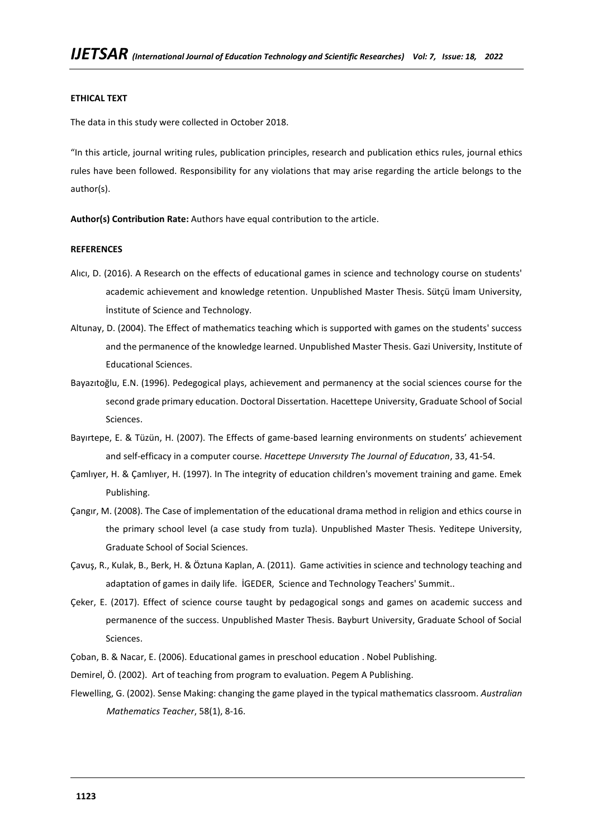### **ETHICAL TEXT**

The data in this study were collected in October 2018.

"In this article, journal writing rules, publication principles, research and publication ethics rules, journal ethics rules have been followed. Responsibility for any violations that may arise regarding the article belongs to the author(s).

**Author(s) Contribution Rate:** Authors have equal contribution to the article.

### **REFERENCES**

- Alıcı, D. (2016). A Research on the effects of educational games in science and technology course on students' academic achievement and knowledge retention. Unpublished Master Thesis. Sütçü İmam University, İnstitute of Science and Technology.
- Altunay, D. (2004). The Effect of mathematics teaching which is supported with games on the students' success and the permanence of the knowledge learned. Unpublished Master Thesis. Gazi University, Institute of Educational Sciences.
- Bayazıtoğlu, E.N. (1996). Pedegogical plays, achievement and permanency at the social sciences course for the second grade primary education. Doctoral Dissertation. Hacettepe University, Graduate School of Social Sciences.
- Bayırtepe, E. & Tüzün, H. (2007). The Effects of game-based learning environments on students' achievement and self-efficacy in a computer course. *Hacettepe Unıversıty The Journal of Educatıon*, 33, 41-54.
- Çamlıyer, H. & Çamlıyer, H. (1997). In The integrity of education children's movement training and game. Emek Publishing.
- Çangır, M. (2008). The Case of implementation of the educational drama method in religion and ethics course in the primary school level (a case study from tuzla). Unpublished Master Thesis. Yeditepe University, Graduate School of Social Sciences.
- Çavuş, R., Kulak, B., Berk, H. & Öztuna Kaplan, A. (2011). Game activities in science and technology teaching and adaptation of games in daily life. İGEDER, Science and Technology Teachers' Summit..
- Çeker, E. (2017). Effect of science course taught by pedagogical songs and games on academic success and permanence of the success. Unpublished Master Thesis. Bayburt University, Graduate School of Social Sciences.
- Çoban, B. & Nacar, E. (2006). Educational games in preschool education . Nobel Publishing.
- Demirel, Ö. (2002). Art of teaching from program to evaluation. Pegem A Publishing.
- Flewelling, G. (2002). Sense Making: changing the game played in the typical mathematics classroom. *Australian Mathematics Teacher*, 58(1), 8-16.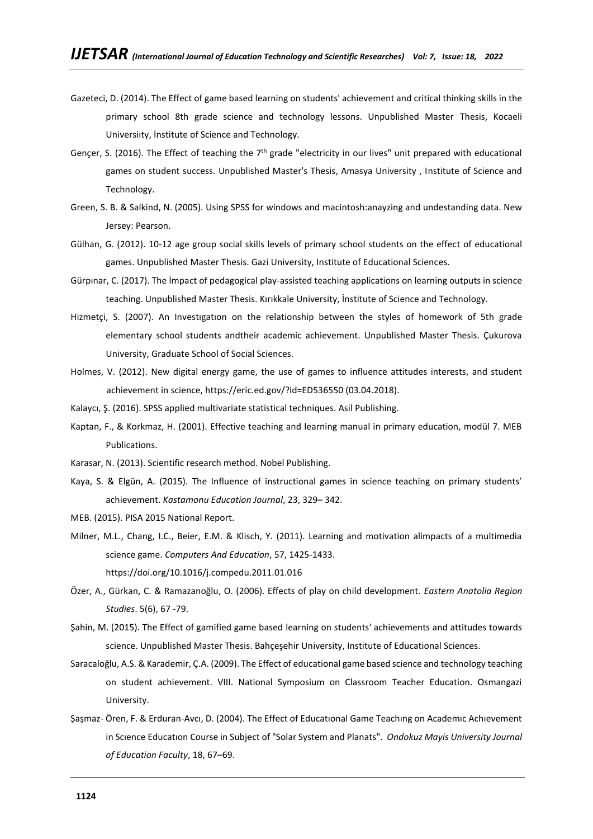- Gazeteci, D. (2014). The Effect of game based learning on students' achievement and critical thinking skills in the primary school 8th grade science and technology lessons. Unpublished Master Thesis, Kocaeli Universiıty, İnstitute of Science and Technology.
- Gençer, S. (2016). The Effect of teaching the  $7<sup>th</sup>$  grade "electricity in our lives" unit prepared with educational games on student success. Unpublished Master's Thesis, Amasya University , Institute of Science and Technology.
- Green, S. B. & Salkind, N. (2005). Using SPSS for windows and macintosh:anayzing and undestanding data. New Jersey: Pearson.
- Gülhan, G. (2012). 10-12 age group social skills levels of primary school students on the effect of educational games. Unpublished Master Thesis. Gazi University, Institute of Educational Sciences.
- Gürpınar, C. (2017). The İmpact of pedagogical play-assisted teaching applications on learning outputs in science teaching. Unpublished Master Thesis. Kırıkkale University, İnstitute of Science and Technology.
- Hizmetçi, S. (2007). An Investıgatıon on the relationship between the styles of homework of 5th grade elementary school students andtheir academic achievement. Unpublished Master Thesis. Çukurova University, Graduate School of Social Sciences.
- Holmes, V. (2012). New digital energy game, the use of games to influence attitudes interests, and student achievement in science, https://eric.ed.gov/?id=ED536550 (03.04.2018).
- Kalaycı, Ş. (2016). SPSS applied multivariate statistical techniques. Asil Publishing.
- Kaptan, F., & Korkmaz, H. (2001). Effective teaching and learning manual in primary education, modül 7. MEB Publications.
- Karasar, N. (2013). Scientific research method. Nobel Publishing.
- Kaya, S. & Elgün, A. (2015). The Influence of instructional games in science teaching on primary students' achievement. *[Kastamonu Education Journal](https://kefdergi.kastamonu.edu.tr/)*, 23, 329– 342.
- MEB. (2015). PISA 2015 National Report.
- Milner, M.L., Chang, I.C., Beier, E.M. & Klisch, Y. (2011). Learning and motivation alimpacts of a multimedia science game. *Computers And Education*, 57, 1425-1433.

<https://doi.org/10.1016/j.compedu.2011.01.016>

- Özer, A., Gürkan, C. & Ramazanoğlu, O. (2006). Effects of play on child development. *Eastern Anatolia Region Studies*. 5(6), 67 -79.
- Şahin, M. (2015). The Effect of gamified game based learning on students' achievements and attitudes towards science. Unpublished Master Thesis. Bahçeşehir University, Institute of Educational Sciences.
- Saracaloğlu, A.S. & Karademir, Ç.A. (2009). The Effect of educational game based science and technology teaching on student achievement. VIII. National Symposium on Classroom Teacher Education. Osmangazi University.
- Şaşmaz- Ören, F. & Erduran-Avcı, D. (2004). The Effect of Educatıonal Game Teachıng on Academıc Achıevement in Scıence Educatıon Course in Subject of "Solar System and Planats". *Ondokuz Mayis University Journal of Education Faculty*, 18, 67–69.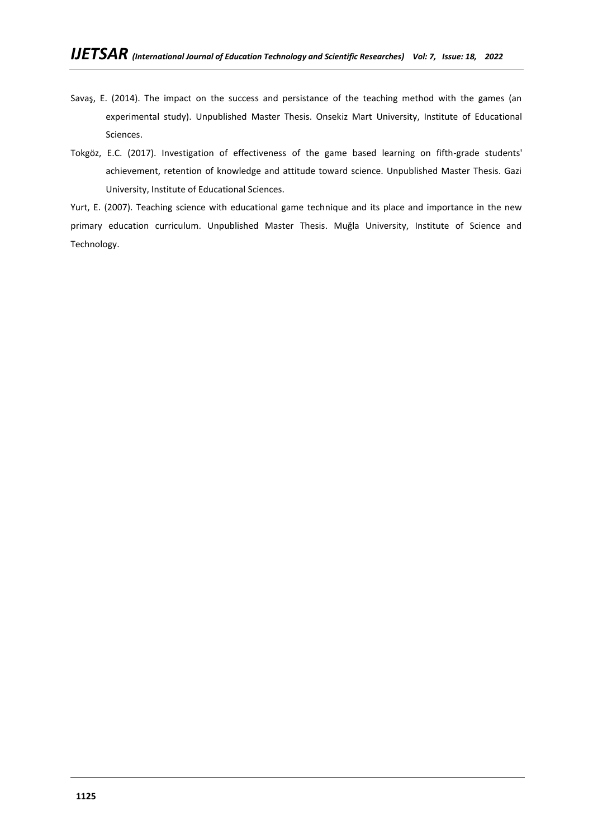- Savaş, E. (2014). The impact on the success and persistance of the teaching method with the games (an experimental study). Unpublished Master Thesis. Onsekiz Mart University, Institute of Educational Sciences.
- Tokgöz, E.C. (2017). Investigation of effectiveness of the game based learning on fifth-grade students' achievement, retention of knowledge and attitude toward science. Unpublished Master Thesis. Gazi University, Institute of Educational Sciences.

Yurt, E. (2007). Teaching science with educational game technique and its place and importance in the new primary education curriculum. Unpublished Master Thesis. Muğla University, Institute of Science and Technology.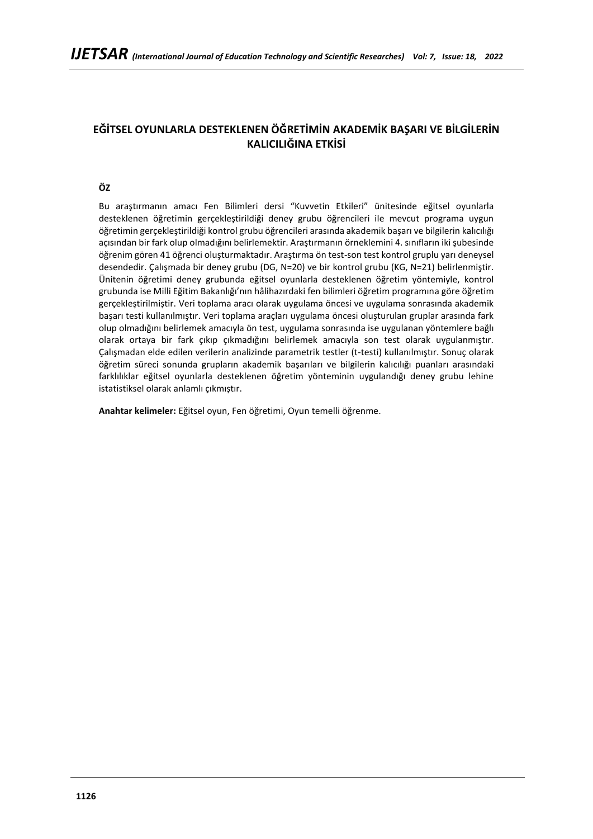# **EĞİTSEL OYUNLARLA DESTEKLENEN ÖĞRETİMİN AKADEMİK BAŞARI VE BİLGİLERİN KALICILIĞINA ETKİSİ**

# **ÖZ**

Bu araştırmanın amacı Fen Bilimleri dersi "Kuvvetin Etkileri" ünitesinde eğitsel oyunlarla desteklenen öğretimin gerçekleştirildiği deney grubu öğrencileri ile mevcut programa uygun öğretimin gerçekleştirildiği kontrol grubu öğrencileri arasında akademik başarı ve bilgilerin kalıcılığı açısından bir fark olup olmadığını belirlemektir. Araştırmanın örneklemini 4. sınıfların iki şubesinde öğrenim gören 41 öğrenci oluşturmaktadır. Araştırma ön test-son test kontrol gruplu yarı deneysel desendedir. Çalışmada bir deney grubu (DG, N=20) ve bir kontrol grubu (KG, N=21) belirlenmiştir. Ünitenin öğretimi deney grubunda eğitsel oyunlarla desteklenen öğretim yöntemiyle, kontrol grubunda ise Milli Eğitim Bakanlığı'nın hâlihazırdaki fen bilimleri öğretim programına göre öğretim gerçekleştirilmiştir. Veri toplama aracı olarak uygulama öncesi ve uygulama sonrasında akademik başarı testi kullanılmıştır. Veri toplama araçları uygulama öncesi oluşturulan gruplar arasında fark olup olmadığını belirlemek amacıyla ön test, uygulama sonrasında ise uygulanan yöntemlere bağlı olarak ortaya bir fark çıkıp çıkmadığını belirlemek amacıyla son test olarak uygulanmıştır. Çalışmadan elde edilen verilerin analizinde parametrik testler (t-testi) kullanılmıştır. Sonuç olarak öğretim süreci sonunda grupların akademik başarıları ve bilgilerin kalıcılığı puanları arasındaki farklılıklar eğitsel oyunlarla desteklenen öğretim yönteminin uygulandığı deney grubu lehine istatistiksel olarak anlamlı çıkmıştır.

**Anahtar kelimeler:** Eğitsel oyun, Fen öğretimi, Oyun temelli öğrenme.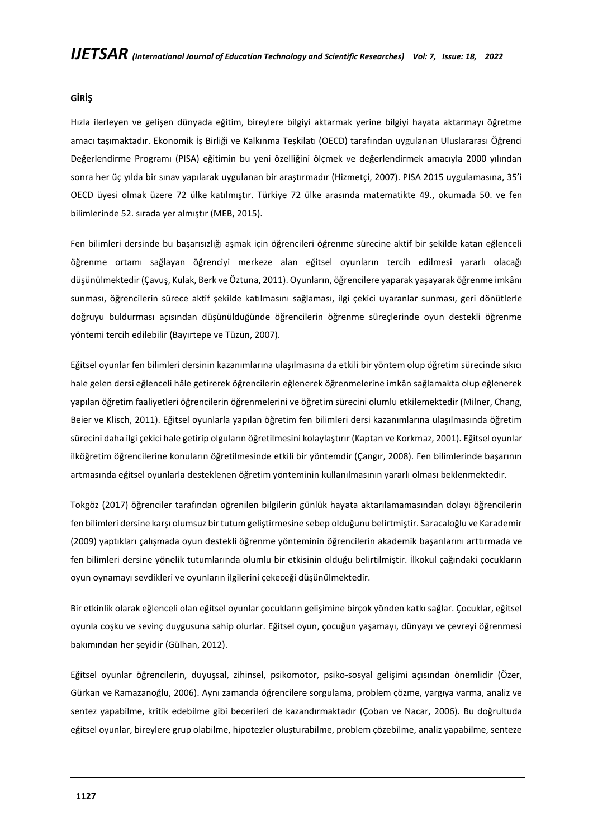# **GİRİŞ**

Hızla ilerleyen ve gelişen dünyada eğitim, bireylere bilgiyi aktarmak yerine bilgiyi hayata aktarmayı öğretme amacı taşımaktadır. Ekonomik İş Birliği ve Kalkınma Teşkilatı (OECD) tarafından uygulanan Uluslararası Öğrenci Değerlendirme Programı (PISA) eğitimin bu yeni özelliğini ölçmek ve değerlendirmek amacıyla 2000 yılından sonra her üç yılda bir sınav yapılarak uygulanan bir araştırmadır (Hizmetçi, 2007). PISA 2015 uygulamasına, 35'i OECD üyesi olmak üzere 72 ülke katılmıştır. Türkiye 72 ülke arasında matematikte 49., okumada 50. ve fen bilimlerinde 52. sırada yer almıştır (MEB, 2015).

Fen bilimleri dersinde bu başarısızlığı aşmak için öğrencileri öğrenme sürecine aktif bir şekilde katan eğlenceli öğrenme ortamı sağlayan öğrenciyi merkeze alan eğitsel oyunların tercih edilmesi yararlı olacağı düşünülmektedir (Çavuş, Kulak, Berk ve Öztuna, 2011). Oyunların, öğrencilere yaparak yaşayarak öğrenme imkânı sunması, öğrencilerin sürece aktif şekilde katılmasını sağlaması, ilgi çekici uyaranlar sunması, geri dönütlerle doğruyu buldurması açısından düşünüldüğünde öğrencilerin öğrenme süreçlerinde oyun destekli öğrenme yöntemi tercih edilebilir (Bayırtepe ve Tüzün, 2007).

Eğitsel oyunlar fen bilimleri dersinin kazanımlarına ulaşılmasına da etkili bir yöntem olup öğretim sürecinde sıkıcı hale gelen dersi eğlenceli hâle getirerek öğrencilerin eğlenerek öğrenmelerine imkân sağlamakta olup eğlenerek yapılan öğretim faaliyetleri öğrencilerin öğrenmelerini ve öğretim sürecini olumlu etkilemektedir (Milner, Chang, Beier ve Klisch, 2011). Eğitsel oyunlarla yapılan öğretim fen bilimleri dersi kazanımlarına ulaşılmasında öğretim sürecini daha ilgi çekici hale getirip olguların öğretilmesini kolaylaştırır (Kaptan ve Korkmaz, 2001). Eğitsel oyunlar ilköğretim öğrencilerine konuların öğretilmesinde etkili bir yöntemdir (Çangır, 2008). Fen bilimlerinde başarının artmasında eğitsel oyunlarla desteklenen öğretim yönteminin kullanılmasının yararlı olması beklenmektedir.

Tokgöz (2017) öğrenciler tarafından öğrenilen bilgilerin günlük hayata aktarılamamasından dolayı öğrencilerin fen bilimleri dersine karşı olumsuz bir tutum geliştirmesine sebep olduğunu belirtmiştir. Saracaloğlu ve Karademir (2009) yaptıkları çalışmada oyun destekli öğrenme yönteminin öğrencilerin akademik başarılarını arttırmada ve fen bilimleri dersine yönelik tutumlarında olumlu bir etkisinin olduğu belirtilmiştir. İlkokul çağındaki çocukların oyun oynamayı sevdikleri ve oyunların ilgilerini çekeceği düşünülmektedir.

Bir etkinlik olarak eğlenceli olan eğitsel oyunlar çocukların gelişimine birçok yönden katkı sağlar. Çocuklar, eğitsel oyunla coşku ve sevinç duygusuna sahip olurlar. Eğitsel oyun, çocuğun yaşamayı, dünyayı ve çevreyi öğrenmesi bakımından her şeyidir (Gülhan, 2012).

Eğitsel oyunlar öğrencilerin, duyuşsal, zihinsel, psikomotor, psiko-sosyal gelişimi açısından önemlidir (Özer, Gürkan ve Ramazanoğlu, 2006). Aynı zamanda öğrencilere sorgulama, problem çözme, yargıya varma, analiz ve sentez yapabilme, kritik edebilme gibi becerileri de kazandırmaktadır (Çoban ve Nacar, 2006). Bu doğrultuda eğitsel oyunlar, bireylere grup olabilme, hipotezler oluşturabilme, problem çözebilme, analiz yapabilme, senteze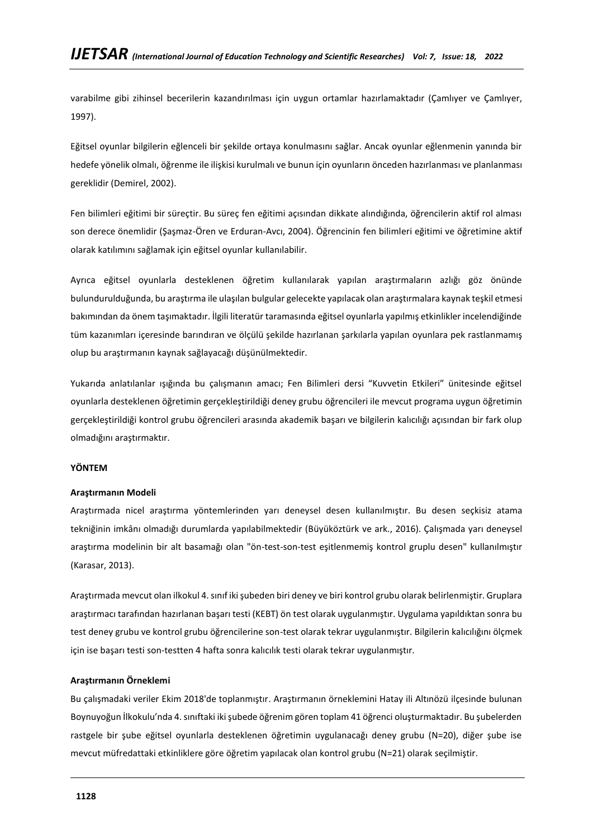varabilme gibi zihinsel becerilerin kazandırılması için uygun ortamlar hazırlamaktadır (Çamlıyer ve Çamlıyer, 1997).

Eğitsel oyunlar bilgilerin eğlenceli bir şekilde ortaya konulmasını sağlar. Ancak oyunlar eğlenmenin yanında bir hedefe yönelik olmalı, öğrenme ile ilişkisi kurulmalı ve bunun için oyunların önceden hazırlanması ve planlanması gereklidir (Demirel, 2002).

Fen bilimleri eğitimi bir süreçtir. Bu süreç fen eğitimi açısından dikkate alındığında, öğrencilerin aktif rol alması son derece önemlidir (Şaşmaz-Ören ve Erduran-Avcı, 2004). Öğrencinin fen bilimleri eğitimi ve öğretimine aktif olarak katılımını sağlamak için eğitsel oyunlar kullanılabilir.

Ayrıca eğitsel oyunlarla desteklenen öğretim kullanılarak yapılan araştırmaların azlığı göz önünde bulundurulduğunda, bu araştırma ile ulaşılan bulgular gelecekte yapılacak olan araştırmalara kaynak teşkil etmesi bakımından da önem taşımaktadır. İlgili literatür taramasında eğitsel oyunlarla yapılmış etkinlikler incelendiğinde tüm kazanımları içeresinde barındıran ve ölçülü şekilde hazırlanan şarkılarla yapılan oyunlara pek rastlanmamış olup bu araştırmanın kaynak sağlayacağı düşünülmektedir.

Yukarıda anlatılanlar ışığında bu çalışmanın amacı; Fen Bilimleri dersi "Kuvvetin Etkileri" ünitesinde eğitsel oyunlarla desteklenen öğretimin gerçekleştirildiği deney grubu öğrencileri ile mevcut programa uygun öğretimin gerçekleştirildiği kontrol grubu öğrencileri arasında akademik başarı ve bilgilerin kalıcılığı açısından bir fark olup olmadığını araştırmaktır.

### **YÖNTEM**

# **Araştırmanın Modeli**

Araştırmada nicel araştırma yöntemlerinden yarı deneysel desen kullanılmıştır. Bu desen seçkisiz atama tekniğinin imkânı olmadığı durumlarda yapılabilmektedir (Büyüköztürk ve ark., 2016). Çalışmada yarı deneysel araştırma modelinin bir alt basamağı olan "ön-test-son-test eşitlenmemiş kontrol gruplu desen" kullanılmıştır (Karasar, 2013).

Araştırmada mevcut olan ilkokul 4. sınıf iki şubeden biri deney ve biri kontrol grubu olarak belirlenmiştir. Gruplara araştırmacı tarafından hazırlanan başarı testi (KEBT) ön test olarak uygulanmıştır. Uygulama yapıldıktan sonra bu test deney grubu ve kontrol grubu öğrencilerine son-test olarak tekrar uygulanmıştır. Bilgilerin kalıcılığını ölçmek için ise başarı testi son-testten 4 hafta sonra kalıcılık testi olarak tekrar uygulanmıştır.

# **Araştırmanın Örneklemi**

Bu çalışmadaki veriler Ekim 2018'de toplanmıştır. Araştırmanın örneklemini Hatay ili Altınözü ilçesinde bulunan Boynuyoğun İlkokulu'nda 4. sınıftaki iki şubede öğrenim gören toplam 41 öğrenci oluşturmaktadır. Bu şubelerden rastgele bir şube eğitsel oyunlarla desteklenen öğretimin uygulanacağı deney grubu (N=20), diğer şube ise mevcut müfredattaki etkinliklere göre öğretim yapılacak olan kontrol grubu (N=21) olarak seçilmiştir.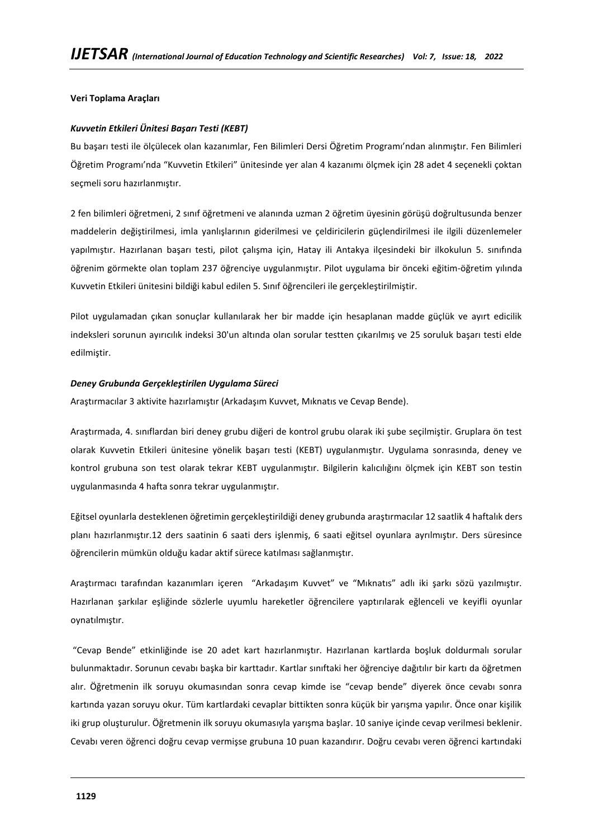# **Veri Toplama Araçları**

### *Kuvvetin Etkileri Ünitesi Başarı Testi (KEBT)*

Bu başarı testi ile ölçülecek olan kazanımlar, Fen Bilimleri Dersi Öğretim Programı'ndan alınmıştır. Fen Bilimleri Öğretim Programı'nda "Kuvvetin Etkileri" ünitesinde yer alan 4 kazanımı ölçmek için 28 adet 4 seçenekli çoktan seçmeli soru hazırlanmıştır.

2 fen bilimleri öğretmeni, 2 sınıf öğretmeni ve alanında uzman 2 öğretim üyesinin görüşü doğrultusunda benzer maddelerin değiştirilmesi, imla yanlışlarının giderilmesi ve çeldiricilerin güçlendirilmesi ile ilgili düzenlemeler yapılmıştır. Hazırlanan başarı testi, pilot çalışma için, Hatay ili Antakya ilçesindeki bir ilkokulun 5. sınıfında öğrenim görmekte olan toplam 237 öğrenciye uygulanmıştır. Pilot uygulama bir önceki eğitim-öğretim yılında Kuvvetin Etkileri ünitesini bildiği kabul edilen 5. Sınıf öğrencileri ile gerçekleştirilmiştir.

Pilot uygulamadan çıkan sonuçlar kullanılarak her bir madde için hesaplanan madde güçlük ve ayırt edicilik indeksleri sorunun ayırıcılık indeksi 30'un altında olan sorular testten çıkarılmış ve 25 soruluk başarı testi elde edilmiştir.

#### *Deney Grubunda Gerçekleştirilen Uygulama Süreci*

Araştırmacılar 3 aktivite hazırlamıştır (Arkadaşım Kuvvet, Mıknatıs ve Cevap Bende).

Araştırmada, 4. sınıflardan biri deney grubu diğeri de kontrol grubu olarak iki şube seçilmiştir. Gruplara ön test olarak Kuvvetin Etkileri ünitesine yönelik başarı testi (KEBT) uygulanmıştır. Uygulama sonrasında, deney ve kontrol grubuna son test olarak tekrar KEBT uygulanmıştır. Bilgilerin kalıcılığını ölçmek için KEBT son testin uygulanmasında 4 hafta sonra tekrar uygulanmıştır.

Eğitsel oyunlarla desteklenen öğretimin gerçekleştirildiği deney grubunda araştırmacılar 12 saatlik 4 haftalık ders planı hazırlanmıştır.12 ders saatinin 6 saati ders işlenmiş, 6 saati eğitsel oyunlara ayrılmıştır. Ders süresince öğrencilerin mümkün olduğu kadar aktif sürece katılması sağlanmıştır.

Araştırmacı tarafından kazanımları içeren "Arkadaşım Kuvvet" ve "Mıknatıs" adlı iki şarkı sözü yazılmıştır. Hazırlanan şarkılar eşliğinde sözlerle uyumlu hareketler öğrencilere yaptırılarak eğlenceli ve keyifli oyunlar oynatılmıştır.

"Cevap Bende" etkinliğinde ise 20 adet kart hazırlanmıştır. Hazırlanan kartlarda boşluk doldurmalı sorular bulunmaktadır. Sorunun cevabı başka bir karttadır. Kartlar sınıftaki her öğrenciye dağıtılır bir kartı da öğretmen alır. Öğretmenin ilk soruyu okumasından sonra cevap kimde ise "cevap bende" diyerek önce cevabı sonra kartında yazan soruyu okur. Tüm kartlardaki cevaplar bittikten sonra küçük bir yarışma yapılır. Önce onar kişilik iki grup oluşturulur. Öğretmenin ilk soruyu okumasıyla yarışma başlar. 10 saniye içinde cevap verilmesi beklenir. Cevabı veren öğrenci doğru cevap vermişse grubuna 10 puan kazandırır. Doğru cevabı veren öğrenci kartındaki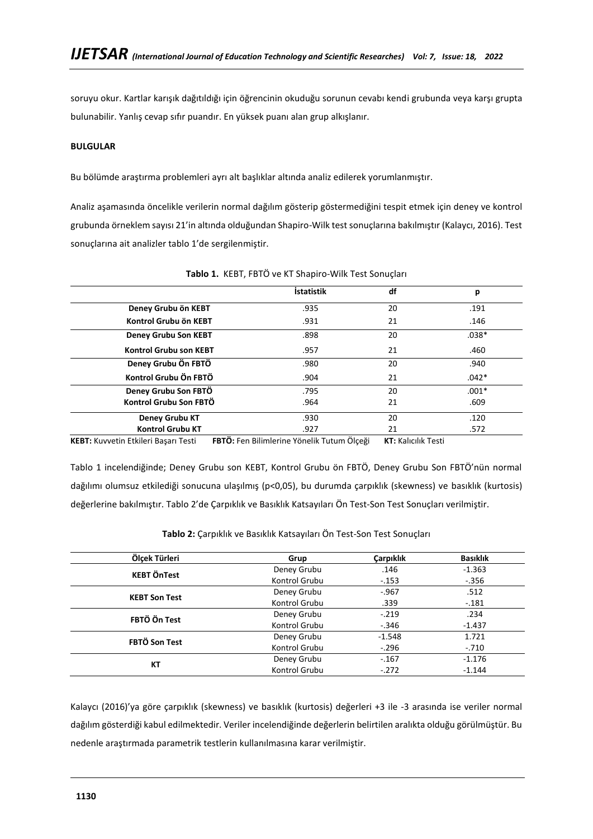soruyu okur. Kartlar karışık dağıtıldığı için öğrencinin okuduğu sorunun cevabı kendi grubunda veya karşı grupta bulunabilir. Yanlış cevap sıfır puandır. En yüksek puanı alan grup alkışlanır.

# **BULGULAR**

Bu bölümde araştırma problemleri ayrı alt başlıklar altında analiz edilerek yorumlanmıştır.

Analiz aşamasında öncelikle verilerin normal dağılım gösterip göstermediğini tespit etmek için deney ve kontrol grubunda örneklem sayısı 21'in altında olduğundan Shapiro-Wilk test sonuçlarına bakılmıştır (Kalaycı, 2016). Test sonuçlarına ait analizler tablo 1'de sergilenmiştir.

|                               | <b>İstatistik</b> | df | р       |
|-------------------------------|-------------------|----|---------|
| Deney Grubu ön KEBT           | .935              | 20 | .191    |
| Kontrol Grubu ön KEBT         | .931              | 21 | .146    |
| <b>Deney Grubu Son KEBT</b>   | .898              | 20 | $.038*$ |
| <b>Kontrol Grubu son KEBT</b> | .957              | 21 | .460    |
| Deney Grubu Ön FBTÖ           | .980              | 20 | .940    |
| Kontrol Grubu Ön FBTÖ         | .904              | 21 | $.042*$ |
| Deney Grubu Son FBTO          | .795              | 20 | $.001*$ |
| Kontrol Grubu Son FBTÖ        | .964              | 21 | .609    |
| Deney Grubu KT                | .930              | 20 | .120    |
| <b>Kontrol Grubu KT</b>       | .927              | 21 | .572    |

#### **Tablo 1.** KEBT, FBTÖ ve KT Shapiro-Wilk Test Sonuçları

**KEBT:** Kuvvetin Etkileri Başarı Testi **FBTÖ:** Fen Bilimlerine Yönelik Tutum Ölçeği **KT:** Kalıcılık Testi

Tablo 1 incelendiğinde; Deney Grubu son KEBT, Kontrol Grubu ön FBTÖ, Deney Grubu Son FBTÖ'nün normal dağılımı olumsuz etkilediği sonucuna ulaşılmış (p<0,05), bu durumda çarpıklık (skewness) ve basıklık (kurtosis) değerlerine bakılmıştır. Tablo 2'de Çarpıklık ve Basıklık Katsayıları Ön Test-Son Test Sonuçları verilmiştir.

| Ölcek Türleri        | Grup          | <b>Carpiklik</b> | <b>Basıklık</b> |
|----------------------|---------------|------------------|-----------------|
| <b>KEBT ÖnTest</b>   | Deney Grubu   | .146             | $-1.363$        |
|                      | Kontrol Grubu | $-.153$          | $-.356$         |
| <b>KEBT Son Test</b> | Deney Grubu   | $-.967$          | .512            |
|                      | Kontrol Grubu | .339             | $-.181$         |
| FBTÖ Ön Test         | Deney Grubu   | $-.219$          | .234            |
|                      | Kontrol Grubu | $-.346$          | $-1.437$        |
| FBTÖ Son Test        | Deney Grubu   | $-1.548$         | 1.721           |
|                      | Kontrol Grubu | $-.296$          | $-.710$         |
|                      | Deney Grubu   | $-.167$          | $-1.176$        |
| КT                   | Kontrol Grubu | $-.272$          | $-1.144$        |

**Tablo 2:** Çarpıklık ve Basıklık Katsayıları Ön Test-Son Test Sonuçları

Kalaycı (2016)'ya göre çarpıklık (skewness) ve basıklık (kurtosis) değerleri +3 ile -3 arasında ise veriler normal dağılım gösterdiği kabul edilmektedir. Veriler incelendiğinde değerlerin belirtilen aralıkta olduğu görülmüştür. Bu nedenle araştırmada parametrik testlerin kullanılmasına karar verilmiştir.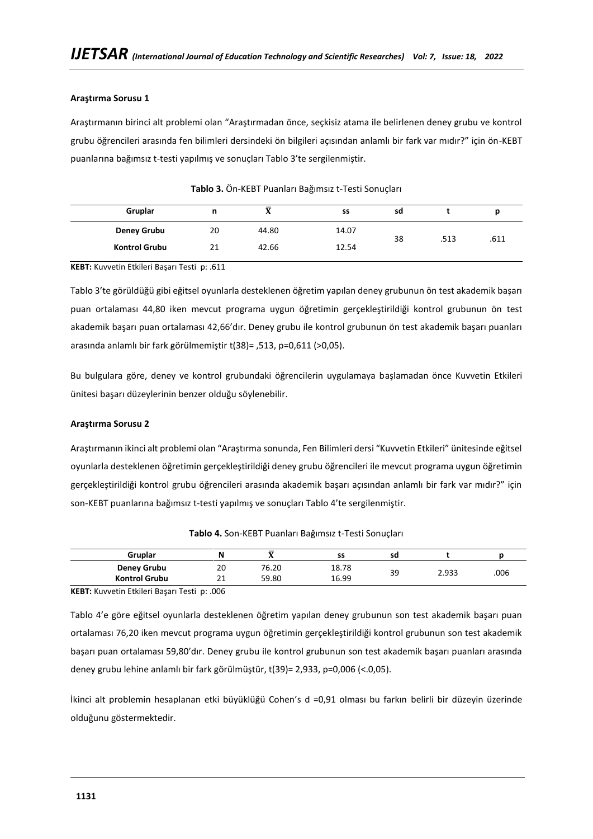# **Araştırma Sorusu 1**

Araştırmanın birinci alt problemi olan "Araştırmadan önce, seçkisiz atama ile belirlenen deney grubu ve kontrol grubu öğrencileri arasında fen bilimleri dersindeki ön bilgileri açısından anlamlı bir fark var mıdır?" için ön-KEBT puanlarına bağımsız t-testi yapılmış ve sonuçları Tablo 3'te sergilenmiştir.

| Gruplar              | n  | $\overline{\mathbf{v}}$<br>71 | SS    | sd |      |      |
|----------------------|----|-------------------------------|-------|----|------|------|
| <b>Deney Grubu</b>   | 20 | 44.80                         | 14.07 | 38 | .513 | .611 |
| <b>Kontrol Grubu</b> | 21 | 42.66                         | 12.54 |    |      |      |

**Tablo 3.** Ön-KEBT Puanları Bağımsız t-Testi Sonuçları

**KEBT:** Kuvvetin Etkileri Başarı Testi p: .611

Tablo 3'te görüldüğü gibi eğitsel oyunlarla desteklenen öğretim yapılan deney grubunun ön test akademik başarı puan ortalaması 44,80 iken mevcut programa uygun öğretimin gerçekleştirildiği kontrol grubunun ön test akademik başarı puan ortalaması 42,66'dır. Deney grubu ile kontrol grubunun ön test akademik başarı puanları arasında anlamlı bir fark görülmemiştir t(38)= ,513, p=0,611 (>0,05).

Bu bulgulara göre, deney ve kontrol grubundaki öğrencilerin uygulamaya başlamadan önce Kuvvetin Etkileri ünitesi başarı düzeylerinin benzer olduğu söylenebilir.

# **Araştırma Sorusu 2**

Araştırmanın ikinci alt problemi olan "Araştırma sonunda, Fen Bilimleri dersi "Kuvvetin Etkileri" ünitesinde eğitsel oyunlarla desteklenen öğretimin gerçekleştirildiği deney grubu öğrencileri ile mevcut programa uygun öğretimin gerçekleştirildiği kontrol grubu öğrencileri arasında akademik başarı açısından anlamlı bir fark var mıdır?" için son-KEBT puanlarına bağımsız t-testi yapılmış ve sonuçları Tablo 4'te sergilenmiştir.

| Gruplar              | N           | _     | SS    | sd |       |      |
|----------------------|-------------|-------|-------|----|-------|------|
| <b>Deney Grubu</b>   | 20          | 76.20 | 18.78 | 39 | 2.933 | .006 |
| <b>Kontrol Grubu</b> | $\sim$<br>ᅩ | 59.80 | 16.99 |    |       |      |

**Tablo 4.** Son-KEBT Puanları Bağımsız t-Testi Sonuçları

**KEBT:** Kuvvetin Etkileri Başarı Testi p: .006

Tablo 4'e göre eğitsel oyunlarla desteklenen öğretim yapılan deney grubunun son test akademik başarı puan ortalaması 76,20 iken mevcut programa uygun öğretimin gerçekleştirildiği kontrol grubunun son test akademik başarı puan ortalaması 59,80'dır. Deney grubu ile kontrol grubunun son test akademik başarı puanları arasında deney grubu lehine anlamlı bir fark görülmüştür, t(39)= 2,933, p=0,006 (<.0,05).

İkinci alt problemin hesaplanan etki büyüklüğü Cohen's d =0,91 olması bu farkın belirli bir düzeyin üzerinde olduğunu göstermektedir.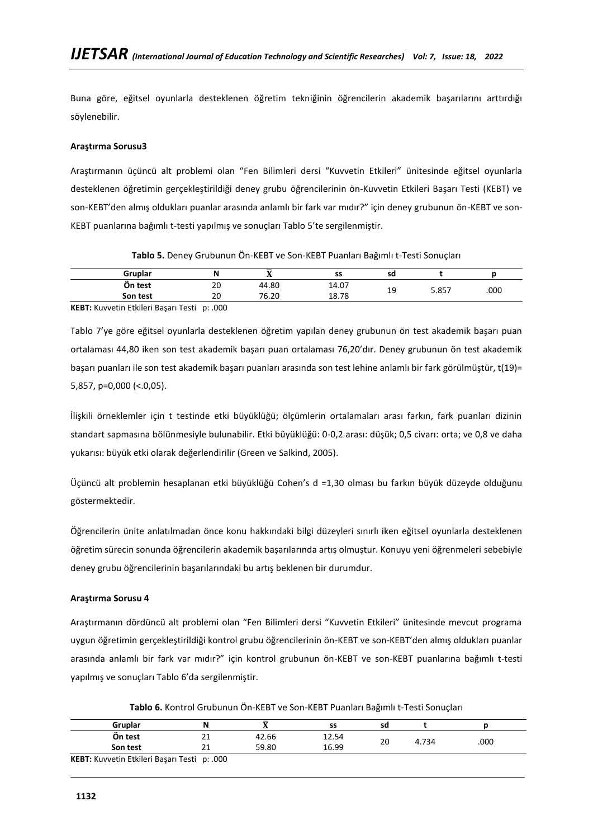Buna göre, eğitsel oyunlarla desteklenen öğretim tekniğinin öğrencilerin akademik başarılarını arttırdığı söylenebilir.

# **Araştırma Sorusu3**

Araştırmanın üçüncü alt problemi olan "Fen Bilimleri dersi "Kuvvetin Etkileri" ünitesinde eğitsel oyunlarla desteklenen öğretimin gerçekleştirildiği deney grubu öğrencilerinin ön-Kuvvetin Etkileri Başarı Testi (KEBT) ve son-KEBT'den almış oldukları puanlar arasında anlamlı bir fark var mıdır?" için deney grubunun ön-KEBT ve son-KEBT puanlarına bağımlı t-testi yapılmış ve sonuçları Tablo 5'te sergilenmiştir.

| Tablo 5. Deney Grubunun Ön-KEBT ve Son-KEBT Puanları Bağımlı t-Testi Sonuçları |  |  |  |  |  |
|--------------------------------------------------------------------------------|--|--|--|--|--|
|--------------------------------------------------------------------------------|--|--|--|--|--|

| Gruplar                                      |    |       | SS    | sd       |       |      |
|----------------------------------------------|----|-------|-------|----------|-------|------|
| On test                                      | 20 | 44.80 | 14.07 | 10       |       |      |
| Son test                                     | 20 | 76.20 | 18.78 | <b>.</b> | 5.857 | .000 |
| KERT: Kunnetin Etkilori Basarı Tosti In: 000 |    |       |       |          |       |      |

**KEBT:** Kuvvetin Etkileri Başarı Testi p: .000

Tablo 7'ye göre eğitsel oyunlarla desteklenen öğretim yapılan deney grubunun ön test akademik başarı puan ortalaması 44,80 iken son test akademik başarı puan ortalaması 76,20'dır. Deney grubunun ön test akademik başarı puanları ile son test akademik başarı puanları arasında son test lehine anlamlı bir fark görülmüştür, t(19)= 5,857, p=0,000 (<.0,05).

İlişkili örneklemler için t testinde etki büyüklüğü; ölçümlerin ortalamaları arası farkın, fark puanları dizinin standart sapmasına bölünmesiyle bulunabilir. Etki büyüklüğü: 0-0,2 arası: düşük; 0,5 civarı: orta; ve 0,8 ve daha yukarısı: büyük etki olarak değerlendirilir (Green ve Salkind, 2005).

Üçüncü alt problemin hesaplanan etki büyüklüğü Cohen's d =1,30 olması bu farkın büyük düzeyde olduğunu göstermektedir.

Öğrencilerin ünite anlatılmadan önce konu hakkındaki bilgi düzeyleri sınırlı iken eğitsel oyunlarla desteklenen öğretim sürecin sonunda öğrencilerin akademik başarılarında artış olmuştur. Konuyu yeni öğrenmeleri sebebiyle deney grubu öğrencilerinin başarılarındaki bu artış beklenen bir durumdur.

# **Araştırma Sorusu 4**

Araştırmanın dördüncü alt problemi olan "Fen Bilimleri dersi "Kuvvetin Etkileri" ünitesinde mevcut programa uygun öğretimin gerçekleştirildiği kontrol grubu öğrencilerinin ön-KEBT ve son-KEBT'den almış oldukları puanlar arasında anlamlı bir fark var mıdır?" için kontrol grubunun ön-KEBT ve son-KEBT puanlarına bağımlı t-testi yapılmış ve sonuçları Tablo 6'da sergilenmiştir.

**Tablo 6.** Kontrol Grubunun Ön-KEBT ve Son-KEBT Puanları Bağımlı t-Testi Sonuçları

| Gruplar                                      | N  |       | SS    | sd |       |      |
|----------------------------------------------|----|-------|-------|----|-------|------|
| Ön test                                      | 21 | 42.66 | 12.54 | 20 | 4.734 | .000 |
| Son test                                     | 21 | 59.80 | 16.99 |    |       |      |
| KEBT: Kuvvetin Etkileri Başarı Testi p: .000 |    |       |       |    |       |      |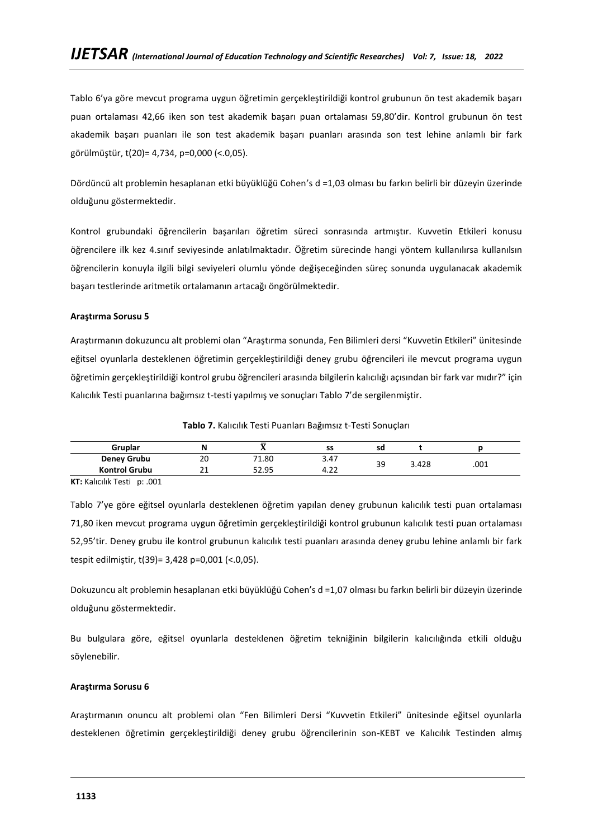Tablo 6'ya göre mevcut programa uygun öğretimin gerçekleştirildiği kontrol grubunun ön test akademik başarı puan ortalaması 42,66 iken son test akademik başarı puan ortalaması 59,80'dir. Kontrol grubunun ön test akademik başarı puanları ile son test akademik başarı puanları arasında son test lehine anlamlı bir fark görülmüştür, t(20)= 4,734, p=0,000 (<.0,05).

Dördüncü alt problemin hesaplanan etki büyüklüğü Cohen's d =1,03 olması bu farkın belirli bir düzeyin üzerinde olduğunu göstermektedir.

Kontrol grubundaki öğrencilerin başarıları öğretim süreci sonrasında artmıştır. Kuvvetin Etkileri konusu öğrencilere ilk kez 4.sınıf seviyesinde anlatılmaktadır. Öğretim sürecinde hangi yöntem kullanılırsa kullanılsın öğrencilerin konuyla ilgili bilgi seviyeleri olumlu yönde değişeceğinden süreç sonunda uygulanacak akademik başarı testlerinde aritmetik ortalamanın artacağı öngörülmektedir.

# **Araştırma Sorusu 5**

Araştırmanın dokuzuncu alt problemi olan "Araştırma sonunda, Fen Bilimleri dersi "Kuvvetin Etkileri" ünitesinde eğitsel oyunlarla desteklenen öğretimin gerçekleştirildiği deney grubu öğrencileri ile mevcut programa uygun öğretimin gerçekleştirildiği kontrol grubu öğrencileri arasında bilgilerin kalıcılığı açısından bir fark var mıdır?" için Kalıcılık Testi puanlarına bağımsız t-testi yapılmış ve sonuçları Tablo 7'de sergilenmiştir.

**Tablo 7.** Kalıcılık Testi Puanları Bağımsız t-Testi Sonuçları

| Gruplar              | Ν        |       | SS        | sd |       |      |
|----------------------|----------|-------|-----------|----|-------|------|
| <b>Deney Grubu</b>   | 20       | 71.80 | 3.47      |    |       |      |
| <b>Kontrol Grubu</b> | ำ 1<br>ᅀ | 52.95 | ຳ<br>4.22 | 39 | 3.428 | .001 |

**KT:** Kalıcılık Testi p: .001

Tablo 7'ye göre eğitsel oyunlarla desteklenen öğretim yapılan deney grubunun kalıcılık testi puan ortalaması 71,80 iken mevcut programa uygun öğretimin gerçekleştirildiği kontrol grubunun kalıcılık testi puan ortalaması 52,95'tir. Deney grubu ile kontrol grubunun kalıcılık testi puanları arasında deney grubu lehine anlamlı bir fark tespit edilmiştir, t(39)= 3,428 p=0,001 (<.0,05).

Dokuzuncu alt problemin hesaplanan etki büyüklüğü Cohen's d =1,07 olması bu farkın belirli bir düzeyin üzerinde olduğunu göstermektedir.

Bu bulgulara göre, eğitsel oyunlarla desteklenen öğretim tekniğinin bilgilerin kalıcılığında etkili olduğu söylenebilir.

# **Araştırma Sorusu 6**

Araştırmanın onuncu alt problemi olan "Fen Bilimleri Dersi "Kuvvetin Etkileri" ünitesinde eğitsel oyunlarla desteklenen öğretimin gerçekleştirildiği deney grubu öğrencilerinin son-KEBT ve Kalıcılık Testinden almış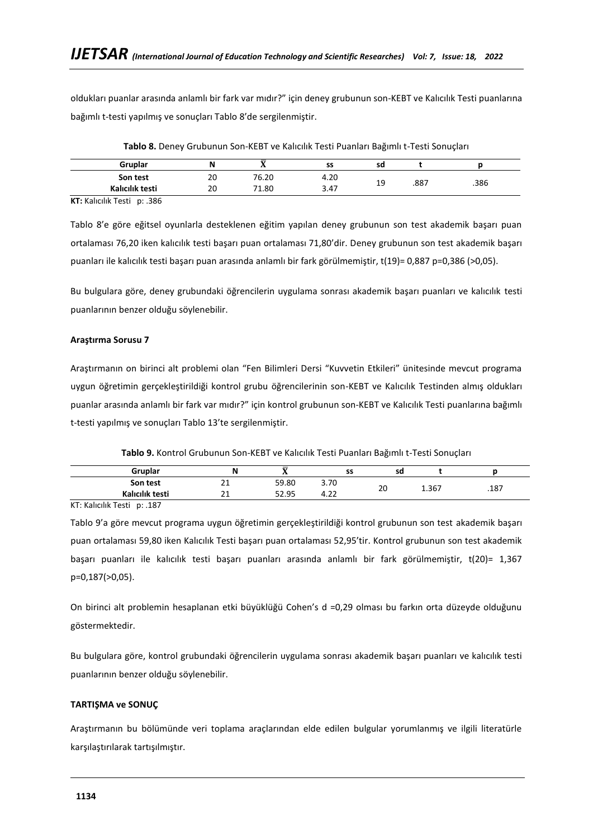oldukları puanlar arasında anlamlı bir fark var mıdır?" için deney grubunun son-KEBT ve Kalıcılık Testi puanlarına bağımlı t-testi yapılmış ve sonuçları Tablo 8'de sergilenmiştir.

| Gruplar         |    |       | SS   | sd |      |      |
|-----------------|----|-------|------|----|------|------|
| Son test        | 20 | 76.20 | 4.20 |    |      |      |
| Kalıcılık testi | 20 | 71.80 | 3.47 | 19 | .887 | .386 |

**Tablo 8.** Deney Grubunun Son-KEBT ve Kalıcılık Testi Puanları Bağımlı t-Testi Sonuçları

**KT:** Kalıcılık Testi p: .386

Tablo 8'e göre eğitsel oyunlarla desteklenen eğitim yapılan deney grubunun son test akademik başarı puan ortalaması 76,20 iken kalıcılık testi başarı puan ortalaması 71,80'dir. Deney grubunun son test akademik başarı puanları ile kalıcılık testi başarı puan arasında anlamlı bir fark görülmemiştir, t(19)= 0,887 p=0,386 (>0,05).

Bu bulgulara göre, deney grubundaki öğrencilerin uygulama sonrası akademik başarı puanları ve kalıcılık testi puanlarının benzer olduğu söylenebilir.

# **Araştırma Sorusu 7**

Araştırmanın on birinci alt problemi olan "Fen Bilimleri Dersi "Kuvvetin Etkileri" ünitesinde mevcut programa uygun öğretimin gerçekleştirildiği kontrol grubu öğrencilerinin son-KEBT ve Kalıcılık Testinden almış oldukları puanlar arasında anlamlı bir fark var mıdır?" için kontrol grubunun son-KEBT ve Kalıcılık Testi puanlarına bağımlı t-testi yapılmış ve sonuçları Tablo 13'te sergilenmiştir.

| Gruplar         | N                    | —<br> | SS          | sd |       |      |
|-----------------|----------------------|-------|-------------|----|-------|------|
| Son test        | $\sim$<br>ᅀ          | 59.80 | 3.70        | 20 | 1.367 | .187 |
| Kalıcılık testi | $\sim$<br><u>_ _</u> | 52.95 | ່າາ<br>7.LL |    |       |      |
| .               |                      |       |             |    |       |      |

KT: Kalıcılık Testi p: .187

Tablo 9'a göre mevcut programa uygun öğretimin gerçekleştirildiği kontrol grubunun son test akademik başarı puan ortalaması 59,80 iken Kalıcılık Testi başarı puan ortalaması 52,95'tir. Kontrol grubunun son test akademik başarı puanları ile kalıcılık testi başarı puanları arasında anlamlı bir fark görülmemiştir, t(20)= 1,367 p=0,187(>0,05).

On birinci alt problemin hesaplanan etki büyüklüğü Cohen's d =0,29 olması bu farkın orta düzeyde olduğunu göstermektedir.

Bu bulgulara göre, kontrol grubundaki öğrencilerin uygulama sonrası akademik başarı puanları ve kalıcılık testi puanlarının benzer olduğu söylenebilir.

# **TARTIŞMA ve SONUÇ**

Araştırmanın bu bölümünde veri toplama araçlarından elde edilen bulgular yorumlanmış ve ilgili literatürle karşılaştırılarak tartışılmıştır.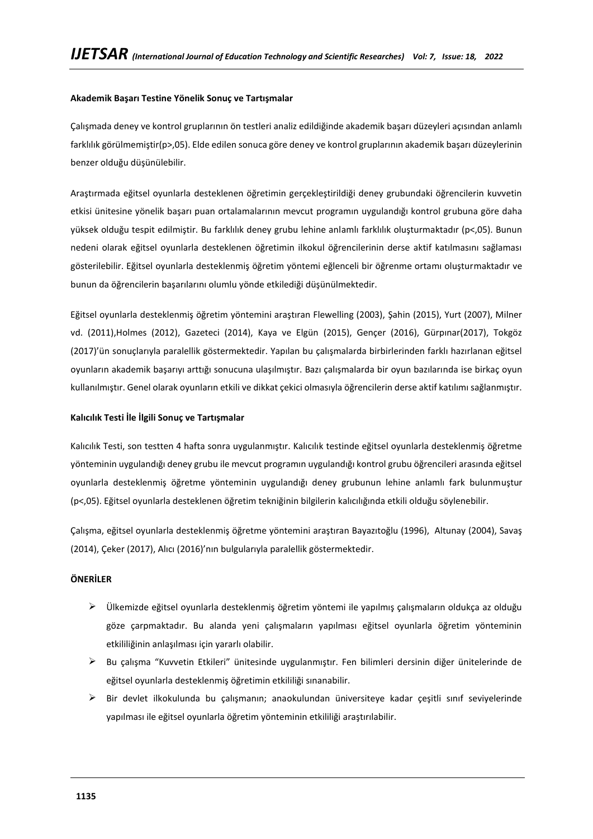# **Akademik Başarı Testine Yönelik Sonuç ve Tartışmalar**

Çalışmada deney ve kontrol gruplarının ön testleri analiz edildiğinde akademik başarı düzeyleri açısından anlamlı farklılık görülmemiştir(p>,05). Elde edilen sonuca göre deney ve kontrol gruplarının akademik başarı düzeylerinin benzer olduğu düşünülebilir.

Araştırmada eğitsel oyunlarla desteklenen öğretimin gerçekleştirildiği deney grubundaki öğrencilerin kuvvetin etkisi ünitesine yönelik başarı puan ortalamalarının mevcut programın uygulandığı kontrol grubuna göre daha yüksek olduğu tespit edilmiştir. Bu farklılık deney grubu lehine anlamlı farklılık oluşturmaktadır (p<,05). Bunun nedeni olarak eğitsel oyunlarla desteklenen öğretimin ilkokul öğrencilerinin derse aktif katılmasını sağlaması gösterilebilir. Eğitsel oyunlarla desteklenmiş öğretim yöntemi eğlenceli bir öğrenme ortamı oluşturmaktadır ve bunun da öğrencilerin başarılarını olumlu yönde etkilediği düşünülmektedir.

Eğitsel oyunlarla desteklenmiş öğretim yöntemini araştıran Flewelling (2003), Şahin (2015), Yurt (2007), Milner vd. (2011),Holmes (2012), Gazeteci (2014), Kaya ve Elgün (2015), Gençer (2016), Gürpınar(2017), Tokgöz (2017)'ün sonuçlarıyla paralellik göstermektedir. Yapılan bu çalışmalarda birbirlerinden farklı hazırlanan eğitsel oyunların akademik başarıyı arttığı sonucuna ulaşılmıştır. Bazı çalışmalarda bir oyun bazılarında ise birkaç oyun kullanılmıştır. Genel olarak oyunların etkili ve dikkat çekici olmasıyla öğrencilerin derse aktif katılımı sağlanmıştır.

# **Kalıcılık Testi İle İlgili Sonuç ve Tartışmalar**

Kalıcılık Testi, son testten 4 hafta sonra uygulanmıştır. Kalıcılık testinde eğitsel oyunlarla desteklenmiş öğretme yönteminin uygulandığı deney grubu ile mevcut programın uygulandığı kontrol grubu öğrencileri arasında eğitsel oyunlarla desteklenmiş öğretme yönteminin uygulandığı deney grubunun lehine anlamlı fark bulunmuştur (p<,05). Eğitsel oyunlarla desteklenen öğretim tekniğinin bilgilerin kalıcılığında etkili olduğu söylenebilir.

Çalışma, eğitsel oyunlarla desteklenmiş öğretme yöntemini araştıran Bayazıtoğlu (1996), Altunay (2004), Savaş (2014), Çeker (2017), Alıcı (2016)'nın bulgularıyla paralellik göstermektedir.

# **ÖNERİLER**

- $\triangleright$  Ülkemizde eğitsel oyunlarla desteklenmiş öğretim yöntemi ile yapılmış çalışmaların oldukça az olduğu göze çarpmaktadır. Bu alanda yeni çalışmaların yapılması eğitsel oyunlarla öğretim yönteminin etkililiğinin anlaşılması için yararlı olabilir.
- ➢ Bu çalışma "Kuvvetin Etkileri" ünitesinde uygulanmıştır. Fen bilimleri dersinin diğer ünitelerinde de eğitsel oyunlarla desteklenmiş öğretimin etkililiği sınanabilir.
- $\triangleright$  Bir devlet ilkokulunda bu çalışmanın; anaokulundan üniversiteye kadar çeşitli sınıf seviyelerinde yapılması ile eğitsel oyunlarla öğretim yönteminin etkililiği araştırılabilir.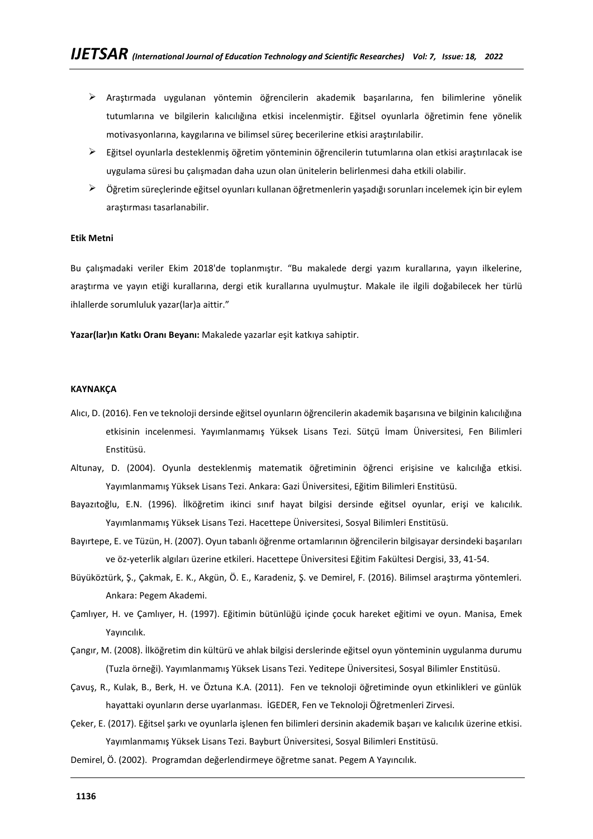- $\triangleright$  Araştırmada uygulanan yöntemin öğrencilerin akademik başarılarına, fen bilimlerine yönelik tutumlarına ve bilgilerin kalıcılığına etkisi incelenmiştir. Eğitsel oyunlarla öğretimin fene yönelik motivasyonlarına, kaygılarına ve bilimsel süreç becerilerine etkisi araştırılabilir.
- ➢ Eğitsel oyunlarla desteklenmiş öğretim yönteminin öğrencilerin tutumlarına olan etkisi araştırılacak ise uygulama süresi bu çalışmadan daha uzun olan ünitelerin belirlenmesi daha etkili olabilir.
- ➢ Öğretim süreçlerinde eğitsel oyunları kullanan öğretmenlerin yaşadığı sorunları incelemek için bir eylem araştırması tasarlanabilir.

### **Etik Metni**

Bu çalışmadaki veriler Ekim 2018'de toplanmıştır. "Bu makalede dergi yazım kurallarına, yayın ilkelerine, araştırma ve yayın etiği kurallarına, dergi etik kurallarına uyulmuştur. Makale ile ilgili doğabilecek her türlü ihlallerde sorumluluk yazar(lar)a aittir."

**Yazar(lar)ın Katkı Oranı Beyanı:** Makalede yazarlar eşit katkıya sahiptir.

### **KAYNAKÇA**

- Alıcı, D. (2016). Fen ve teknoloji dersinde eğitsel oyunların öğrencilerin akademik başarısına ve bilginin kalıcılığına etkisinin incelenmesi. Yayımlanmamış Yüksek Lisans Tezi. Sütçü İmam Üniversitesi, Fen Bilimleri Enstitüsü.
- Altunay, D. (2004). Oyunla desteklenmiş matematik öğretiminin öğrenci erişisine ve kalıcılığa etkisi. Yayımlanmamış Yüksek Lisans Tezi. Ankara: Gazi Üniversitesi, Eğitim Bilimleri Enstitüsü.
- Bayazıtoğlu, E.N. (1996). İlköğretim ikinci sınıf hayat bilgisi dersinde eğitsel oyunlar, erişi ve kalıcılık. Yayımlanmamış Yüksek Lisans Tezi. Hacettepe Üniversitesi, Sosyal Bilimleri Enstitüsü.
- Bayırtepe, E. ve Tüzün, H. (2007). Oyun tabanlı öğrenme ortamlarının öğrencilerin bilgisayar dersindeki başarıları ve öz-yeterlik algıları üzerine etkileri. Hacettepe Üniversitesi Eğitim Fakültesi Dergisi, 33, 41-54.
- Büyüköztürk, Ş., Çakmak, E. K., Akgün, Ö. E., Karadeniz, Ş. ve Demirel, F. (2016). Bilimsel araştırma yöntemleri. Ankara: Pegem Akademi.
- Çamlıyer, H. ve Çamlıyer, H. (1997). Eğitimin bütünlüğü içinde çocuk hareket eğitimi ve oyun. Manisa, Emek Yayıncılık.
- Çangır, M. (2008). İlköğretim din kültürü ve ahlak bilgisi derslerinde eğitsel oyun yönteminin uygulanma durumu (Tuzla örneği). Yayımlanmamış Yüksek Lisans Tezi. Yeditepe Üniversitesi, Sosyal Bilimler Enstitüsü.
- Çavuş, R., Kulak, B., Berk, H. ve Öztuna K.A. (2011). Fen ve teknoloji öğretiminde oyun etkinlikleri ve günlük hayattaki oyunların derse uyarlanması. İGEDER, Fen ve Teknoloji Öğretmenleri Zirvesi.
- Çeker, E. (2017). Eğitsel şarkı ve oyunlarla işlenen fen bilimleri dersinin akademik başarı ve kalıcılık üzerine etkisi. Yayımlanmamış Yüksek Lisans Tezi. Bayburt Üniversitesi, Sosyal Bilimleri Enstitüsü.
- Demirel, Ö. (2002). Programdan değerlendirmeye öğretme sanat. Pegem A Yayıncılık.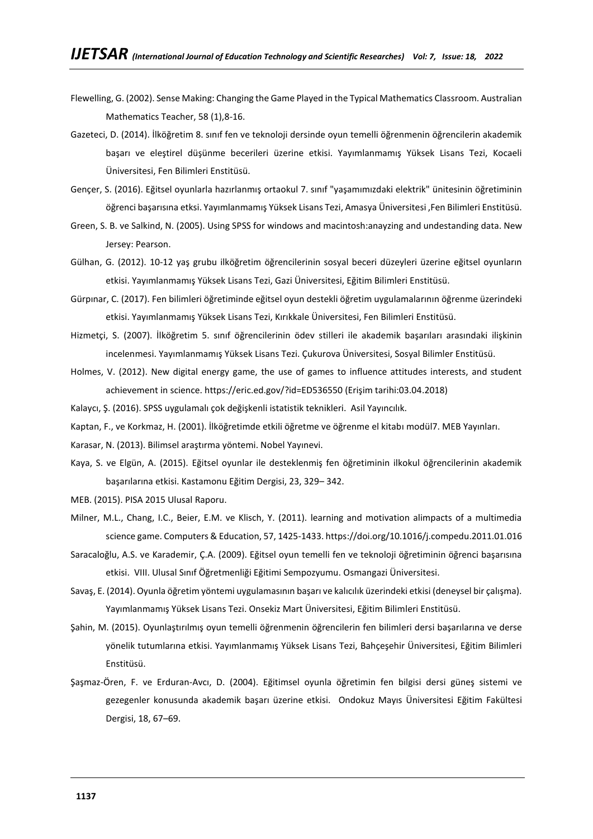- Flewelling, G. (2002). Sense Making: Changing the Game Played in the Typical Mathematics Classroom. Australian Mathematics Teacher, 58 (1),8-16.
- Gazeteci, D. (2014). İlköğretim 8. sınıf fen ve teknoloji dersinde oyun temelli öğrenmenin öğrencilerin akademik başarı ve eleştirel düşünme becerileri üzerine etkisi. Yayımlanmamış Yüksek Lisans Tezi, Kocaeli Üniversitesi, Fen Bilimleri Enstitüsü.
- Gençer, S. (2016). Eğitsel oyunlarla hazırlanmış ortaokul 7. sınıf "yaşamımızdaki elektrik" ünitesinin öğretiminin öğrenci başarısına etksi. Yayımlanmamış Yüksek Lisans Tezi, Amasya Üniversitesi ,Fen Bilimleri Enstitüsü.
- Green, S. B. ve Salkind, N. (2005). Using SPSS for windows and macintosh:anayzing and undestanding data. New Jersey: Pearson.
- Gülhan, G. (2012). 10-12 yaş grubu ilköğretim öğrencilerinin sosyal beceri düzeyleri üzerine eğitsel oyunların etkisi. Yayımlanmamış Yüksek Lisans Tezi, Gazi Üniversitesi, Eğitim Bilimleri Enstitüsü.
- Gürpınar, C. (2017). Fen bilimleri öğretiminde eğitsel oyun destekli öğretim uygulamalarının öğrenme üzerindeki etkisi. Yayımlanmamış Yüksek Lisans Tezi, Kırıkkale Üniversitesi, Fen Bilimleri Enstitüsü.
- Hizmetçi, S. (2007). İlköğretim 5. sınıf öğrencilerinin ödev stilleri ile akademik başarıları arasındaki ilişkinin incelenmesi. Yayımlanmamış Yüksek Lisans Tezi. Çukurova Üniversitesi, Sosyal Bilimler Enstitüsü.
- Holmes, V. (2012). New digital energy game, the use of games to influence attitudes interests, and student achievement in science. https://eric.ed.gov/?id=ED536550 (Erişim tarihi:03.04.2018)
- Kalaycı, Ş. (2016). SPSS uygulamalı çok değişkenli istatistik teknikleri. Asil Yayıncılık.
- Kaptan, F., ve Korkmaz, H. (2001). İlköğretimde etkili öğretme ve öğrenme el kitabı modül7. MEB Yayınları.
- Karasar, N. (2013). Bilimsel araştırma yöntemi. Nobel Yayınevi.
- Kaya, S. ve Elgün, A. (2015). Eğitsel oyunlar ile desteklenmiş fen öğretiminin ilkokul öğrencilerinin akademik başarılarına etkisi. Kastamonu Eğitim Dergisi, 23, 329– 342.
- MEB. (2015). PISA 2015 Ulusal Raporu.
- Milner, M.L., Chang, I.C., Beier, E.M. ve Klisch, Y. (2011). learning and motivation alimpacts of a multimedia science game. Computers & Education, 57, 1425-1433[. https://doi.org/10.1016/j.compedu.2011.01.016](https://doi.org/10.1016/j.compedu.2011.01.016)
- Saracaloğlu, A.S. ve Karademir, Ç.A. (2009). Eğitsel oyun temelli fen ve teknoloji öğretiminin öğrenci başarısına etkisi. VIII. Ulusal Sınıf Öğretmenliği Eğitimi Sempozyumu. Osmangazi Üniversitesi.
- Savaş, E. (2014). Oyunla öğretim yöntemi uygulamasının başarı ve kalıcılık üzerindeki etkisi (deneysel bir çalışma). Yayımlanmamış Yüksek Lisans Tezi. Onsekiz Mart Üniversitesi, Eğitim Bilimleri Enstitüsü.
- Şahin, M. (2015). Oyunlaştırılmış oyun temelli öğrenmenin öğrencilerin fen bilimleri dersi başarılarına ve derse yönelik tutumlarına etkisi. Yayımlanmamış Yüksek Lisans Tezi, Bahçeşehir Üniversitesi, Eğitim Bilimleri Enstitüsü.
- Şaşmaz-Ören, F. ve Erduran-Avcı, D. (2004). Eğitimsel oyunla öğretimin fen bilgisi dersi güneş sistemi ve gezegenler konusunda akademik başarı üzerine etkisi. Ondokuz Mayıs Üniversitesi Eğitim Fakültesi Dergisi, 18, 67–69.